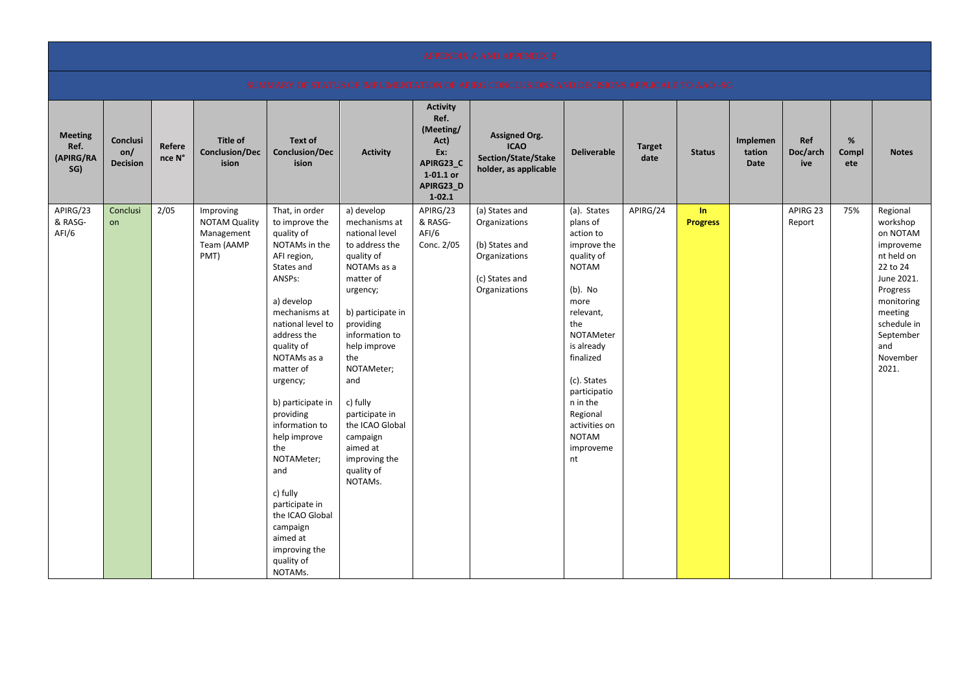|                                            |                                    |                  |                                                                       |                                                                                                                                                                                                                                                                                                                                                                                                                                                    |                                                                                                                                                                                                                                                                                                                                          |                                                                                                          | <b>APPENDIX A AND APPENDIX B</b>                                                                      |                                                                                                                                                                                                                                                                                |                       |                       |                                   |                        |                   |                                                                                                                                                                                    |
|--------------------------------------------|------------------------------------|------------------|-----------------------------------------------------------------------|----------------------------------------------------------------------------------------------------------------------------------------------------------------------------------------------------------------------------------------------------------------------------------------------------------------------------------------------------------------------------------------------------------------------------------------------------|------------------------------------------------------------------------------------------------------------------------------------------------------------------------------------------------------------------------------------------------------------------------------------------------------------------------------------------|----------------------------------------------------------------------------------------------------------|-------------------------------------------------------------------------------------------------------|--------------------------------------------------------------------------------------------------------------------------------------------------------------------------------------------------------------------------------------------------------------------------------|-----------------------|-----------------------|-----------------------------------|------------------------|-------------------|------------------------------------------------------------------------------------------------------------------------------------------------------------------------------------|
|                                            |                                    |                  |                                                                       |                                                                                                                                                                                                                                                                                                                                                                                                                                                    |                                                                                                                                                                                                                                                                                                                                          |                                                                                                          | SUMMARY OF STATUS OF IMPLIMENTATION OF APIRG CONCLUSIONS AND DECISIONS APPLICALE TO AAO -SG           |                                                                                                                                                                                                                                                                                |                       |                       |                                   |                        |                   |                                                                                                                                                                                    |
| <b>Meeting</b><br>Ref.<br>(APIRG/RA<br>SG) | Conclusi<br>on/<br><b>Decision</b> | Refere<br>nce N° | <b>Title of</b><br><b>Conclusion/Dec</b><br>ision                     | <b>Text of</b><br><b>Conclusion/Dec</b><br>ision                                                                                                                                                                                                                                                                                                                                                                                                   | <b>Activity</b>                                                                                                                                                                                                                                                                                                                          | <b>Activity</b><br>Ref.<br>(Meeting/<br>Act)<br>Ex:<br>APIRG23_C<br>$1-01.1$ or<br>APIRG23_D<br>$1-02.1$ | <b>Assigned Org.</b><br><b>ICAO</b><br>Section/State/Stake<br>holder, as applicable                   | <b>Deliverable</b>                                                                                                                                                                                                                                                             | <b>Target</b><br>date | <b>Status</b>         | Implemen<br>tation<br><b>Date</b> | Ref<br>Doc/arch<br>ive | %<br>Compl<br>ete | <b>Notes</b>                                                                                                                                                                       |
| APIRG/23<br>& RASG-<br>AFI/6               | Conclusi<br>on                     | 2/05             | Improving<br><b>NOTAM Quality</b><br>Management<br>Team (AAMP<br>PMT) | That, in order<br>to improve the<br>quality of<br>NOTAMs in the<br>AFI region,<br>States and<br>ANSPs:<br>a) develop<br>mechanisms at<br>national level to<br>address the<br>quality of<br>NOTAMs as a<br>matter of<br>urgency;<br>b) participate in<br>providing<br>information to<br>help improve<br>the<br>NOTAMeter;<br>and<br>c) fully<br>participate in<br>the ICAO Global<br>campaign<br>aimed at<br>improving the<br>quality of<br>NOTAMs. | a) develop<br>mechanisms at<br>national level<br>to address the<br>quality of<br>NOTAMs as a<br>matter of<br>urgency;<br>b) participate in<br>providing<br>information to<br>help improve<br>the<br>NOTAMeter;<br>and<br>c) fully<br>participate in<br>the ICAO Global<br>campaign<br>aimed at<br>improving the<br>quality of<br>NOTAMs. | APIRG/23<br>& RASG-<br>AFI/6<br>Conc. 2/05                                                               | (a) States and<br>Organizations<br>(b) States and<br>Organizations<br>(c) States and<br>Organizations | (a). States<br>plans of<br>action to<br>improve the<br>quality of<br><b>NOTAM</b><br>$(b)$ . No<br>more<br>relevant,<br>the<br>NOTAMeter<br>is already<br>finalized<br>(c). States<br>participatio<br>n in the<br>Regional<br>activities on<br><b>NOTAM</b><br>improveme<br>nt | APIRG/24              | In<br><b>Progress</b> |                                   | APIRG 23<br>Report     | 75%               | Regional<br>workshop<br>on NOTAM<br>improveme<br>nt held on<br>22 to 24<br>June 2021.<br>Progress<br>monitoring<br>meeting<br>schedule in<br>September<br>and<br>November<br>2021. |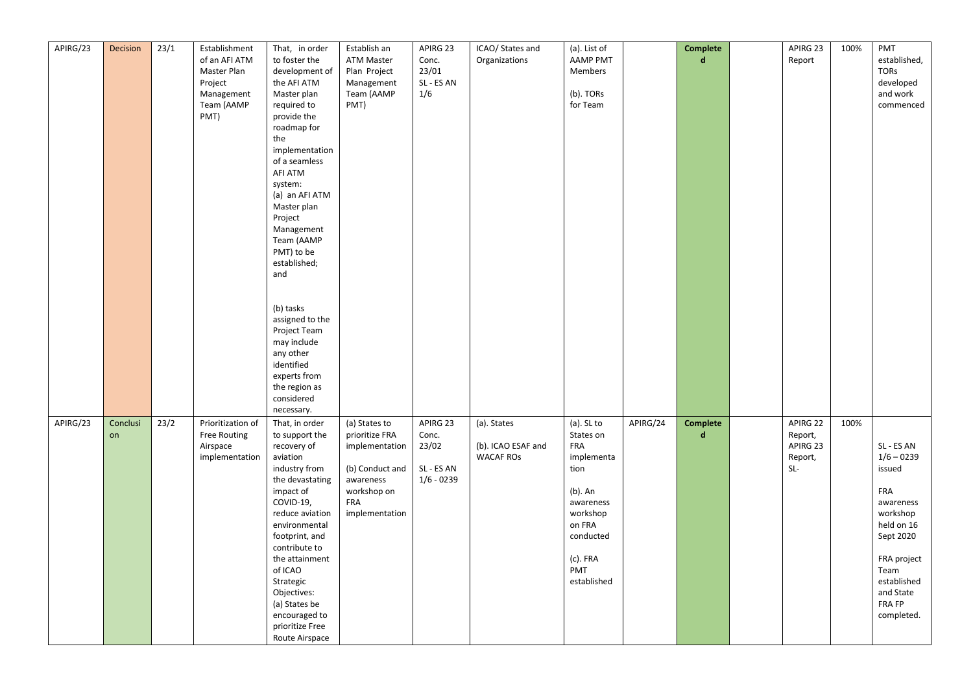| APIRG/23 | Decision       | 23/1 | Establishment<br>of an AFI ATM<br>Master Plan<br>Project<br>Management<br>Team (AAMP<br>PMT) | That, in order<br>to foster the<br>development of<br>the AFI ATM<br>Master plan<br>required to<br>provide the<br>roadmap for<br>the<br>implementation<br>of a seamless<br>AFI ATM<br>system:<br>(a) an AFI ATM<br>Master plan<br>Project<br>Management<br>Team (AAMP<br>PMT) to be<br>established;<br>and<br>(b) tasks<br>assigned to the<br>Project Team<br>may include<br>any other<br>identified<br>experts from<br>the region as | Establish an<br><b>ATM Master</b><br>Plan Project<br>Management<br>Team (AAMP<br>PMT)                                            | APIRG 23<br>Conc.<br>23/01<br>SL - ES AN<br>1/6          | ICAO/ States and<br>Organizations                     | (a). List of<br><b>AAMP PMT</b><br>Members<br>(b). TORs<br>for Team                                                                                  |          | Complete<br>$\mathbf d$ | APIRG 23<br>Report                                  | 100% | PMT<br>established,<br>TORs<br>developed<br>and work<br>commenced                                                                                                          |
|----------|----------------|------|----------------------------------------------------------------------------------------------|--------------------------------------------------------------------------------------------------------------------------------------------------------------------------------------------------------------------------------------------------------------------------------------------------------------------------------------------------------------------------------------------------------------------------------------|----------------------------------------------------------------------------------------------------------------------------------|----------------------------------------------------------|-------------------------------------------------------|------------------------------------------------------------------------------------------------------------------------------------------------------|----------|-------------------------|-----------------------------------------------------|------|----------------------------------------------------------------------------------------------------------------------------------------------------------------------------|
| APIRG/23 | Conclusi<br>on | 23/2 | Prioritization of<br>Free Routing<br>Airspace<br>implementation                              | considered<br>necessary.<br>That, in order<br>to support the<br>recovery of<br>aviation<br>industry from<br>the devastating<br>impact of<br>COVID-19,<br>reduce aviation<br>environmental<br>footprint, and<br>contribute to<br>the attainment<br>of ICAO<br>Strategic<br>Objectives:<br>(a) States be<br>encouraged to<br>prioritize Free<br>Route Airspace                                                                         | (a) States to<br>prioritize FRA<br>implementation<br>(b) Conduct and<br>awareness<br>workshop on<br><b>FRA</b><br>implementation | APIRG 23<br>Conc.<br>23/02<br>SL - ES AN<br>$1/6 - 0239$ | (a). States<br>(b). ICAO ESAF and<br><b>WACAF ROS</b> | $(a)$ . SL to<br>States on<br>FRA<br>implementa<br>tion<br>(b). An<br>awareness<br>workshop<br>on FRA<br>conducted<br>(c). FRA<br>PMT<br>established | APIRG/24 | Complete<br>$\mathbf d$ | APIRG 22<br>Report,<br>APIRG 23<br>Report,<br>$SL-$ | 100% | SL - ES AN<br>$1/6 - 0239$<br>issued<br>FRA<br>awareness<br>workshop<br>held on 16<br>Sept 2020<br>FRA project<br>Team<br>established<br>and State<br>FRA FP<br>completed. |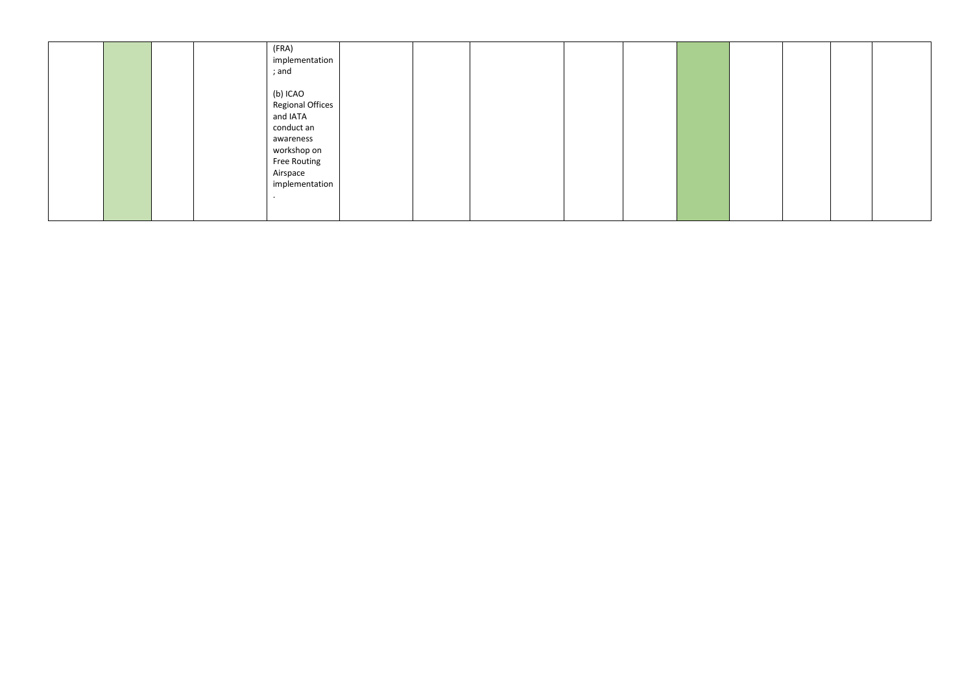| (FRA)<br>implementation<br>; and                                                                                                 |  |
|----------------------------------------------------------------------------------------------------------------------------------|--|
| (b) ICAO<br>Regional Offices<br>and IATA<br>conduct an<br>awareness<br>workshop on<br>Free Routing<br>Airspace<br>implementation |  |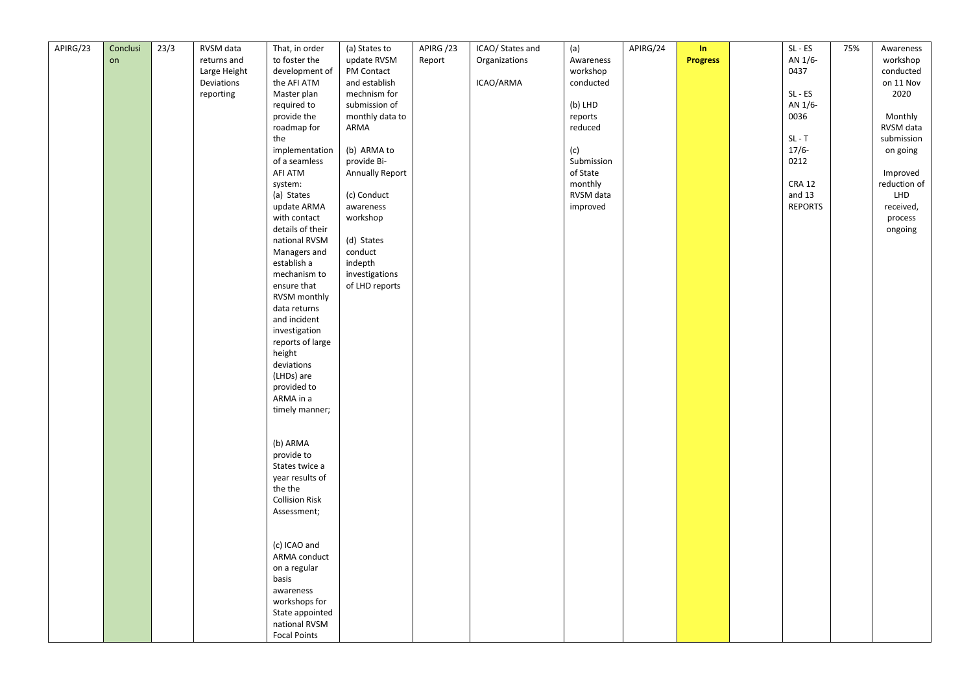| APIRG/23 | Conclusi | 23/3 | RVSM data    | That, in order               | (a) States to   | APIRG/23 | ICAO/ States and | (a)        | APIRG/24 | In              | $SL - ES$      | 75% | Awareness    |
|----------|----------|------|--------------|------------------------------|-----------------|----------|------------------|------------|----------|-----------------|----------------|-----|--------------|
|          | on       |      | returns and  | to foster the                | update RVSM     | Report   | Organizations    | Awareness  |          | <b>Progress</b> | AN 1/6-        |     | workshop     |
|          |          |      | Large Height | development of               | PM Contact      |          |                  | workshop   |          |                 | 0437           |     | conducted    |
|          |          |      | Deviations   | the AFI ATM                  | and establish   |          | ICAO/ARMA        | conducted  |          |                 |                |     | on 11 Nov    |
|          |          |      | reporting    | Master plan                  | mechnism for    |          |                  |            |          |                 | $SL - ES$      |     | 2020         |
|          |          |      |              | required to                  | submission of   |          |                  | (b) LHD    |          |                 | AN 1/6-        |     |              |
|          |          |      |              | provide the                  | monthly data to |          |                  | reports    |          |                 | 0036           |     | Monthly      |
|          |          |      |              | roadmap for                  | ARMA            |          |                  | reduced    |          |                 |                |     | RVSM data    |
|          |          |      |              | the                          |                 |          |                  |            |          |                 | $SL - T$       |     | submission   |
|          |          |      |              | implementation               | (b) ARMA to     |          |                  | (c)        |          |                 | $17/6-$        |     | on going     |
|          |          |      |              | of a seamless                | provide Bi-     |          |                  | Submission |          |                 | 0212           |     |              |
|          |          |      |              | AFI ATM                      | Annually Report |          |                  | of State   |          |                 |                |     | Improved     |
|          |          |      |              | system:                      |                 |          |                  | monthly    |          |                 | <b>CRA 12</b>  |     | reduction of |
|          |          |      |              | (a) States                   | (c) Conduct     |          |                  | RVSM data  |          |                 | and 13         |     | LHD          |
|          |          |      |              | update ARMA                  | awareness       |          |                  | improved   |          |                 | <b>REPORTS</b> |     | received,    |
|          |          |      |              | with contact                 | workshop        |          |                  |            |          |                 |                |     | process      |
|          |          |      |              | details of their             |                 |          |                  |            |          |                 |                |     | ongoing      |
|          |          |      |              | national RVSM                | (d) States      |          |                  |            |          |                 |                |     |              |
|          |          |      |              | Managers and                 | conduct         |          |                  |            |          |                 |                |     |              |
|          |          |      |              | establish a                  | indepth         |          |                  |            |          |                 |                |     |              |
|          |          |      |              | mechanism to                 | investigations  |          |                  |            |          |                 |                |     |              |
|          |          |      |              | ensure that                  | of LHD reports  |          |                  |            |          |                 |                |     |              |
|          |          |      |              | RVSM monthly                 |                 |          |                  |            |          |                 |                |     |              |
|          |          |      |              | data returns<br>and incident |                 |          |                  |            |          |                 |                |     |              |
|          |          |      |              | investigation                |                 |          |                  |            |          |                 |                |     |              |
|          |          |      |              | reports of large             |                 |          |                  |            |          |                 |                |     |              |
|          |          |      |              | height                       |                 |          |                  |            |          |                 |                |     |              |
|          |          |      |              | deviations                   |                 |          |                  |            |          |                 |                |     |              |
|          |          |      |              | (LHDs) are                   |                 |          |                  |            |          |                 |                |     |              |
|          |          |      |              | provided to                  |                 |          |                  |            |          |                 |                |     |              |
|          |          |      |              | ARMA in a                    |                 |          |                  |            |          |                 |                |     |              |
|          |          |      |              | timely manner;               |                 |          |                  |            |          |                 |                |     |              |
|          |          |      |              |                              |                 |          |                  |            |          |                 |                |     |              |
|          |          |      |              |                              |                 |          |                  |            |          |                 |                |     |              |
|          |          |      |              | (b) ARMA                     |                 |          |                  |            |          |                 |                |     |              |
|          |          |      |              | provide to                   |                 |          |                  |            |          |                 |                |     |              |
|          |          |      |              | States twice a               |                 |          |                  |            |          |                 |                |     |              |
|          |          |      |              | year results of              |                 |          |                  |            |          |                 |                |     |              |
|          |          |      |              | the the                      |                 |          |                  |            |          |                 |                |     |              |
|          |          |      |              | <b>Collision Risk</b>        |                 |          |                  |            |          |                 |                |     |              |
|          |          |      |              | Assessment;                  |                 |          |                  |            |          |                 |                |     |              |
|          |          |      |              |                              |                 |          |                  |            |          |                 |                |     |              |
|          |          |      |              |                              |                 |          |                  |            |          |                 |                |     |              |
|          |          |      |              | (c) ICAO and                 |                 |          |                  |            |          |                 |                |     |              |
|          |          |      |              | ARMA conduct<br>on a regular |                 |          |                  |            |          |                 |                |     |              |
|          |          |      |              | basis                        |                 |          |                  |            |          |                 |                |     |              |
|          |          |      |              | awareness                    |                 |          |                  |            |          |                 |                |     |              |
|          |          |      |              | workshops for                |                 |          |                  |            |          |                 |                |     |              |
|          |          |      |              | State appointed              |                 |          |                  |            |          |                 |                |     |              |
|          |          |      |              | national RVSM                |                 |          |                  |            |          |                 |                |     |              |
|          |          |      |              | <b>Focal Points</b>          |                 |          |                  |            |          |                 |                |     |              |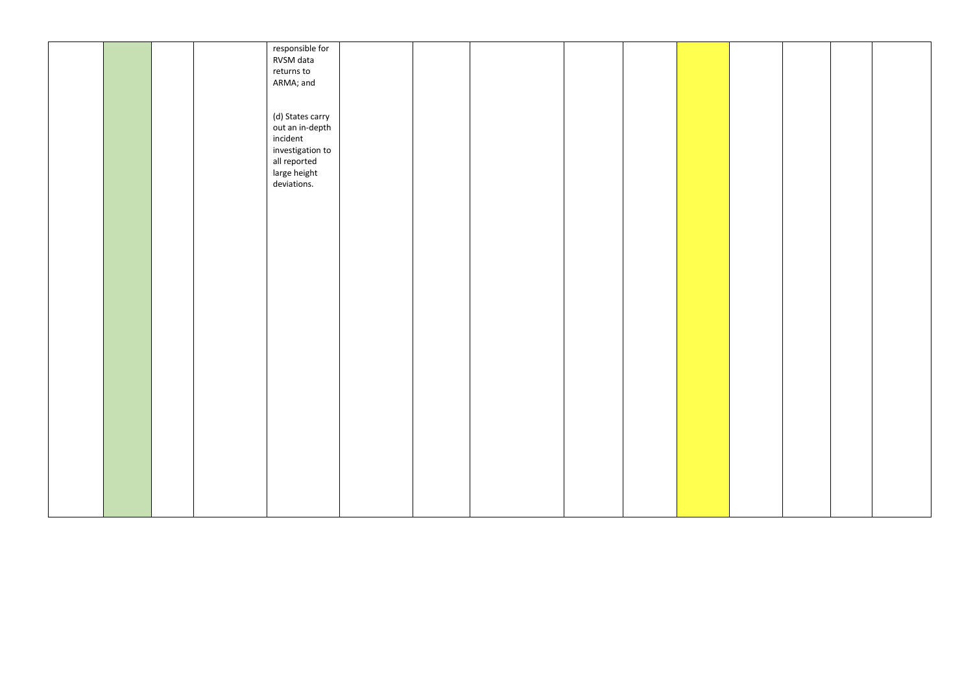|  |  | responsible for  |  |  |  |  |  |
|--|--|------------------|--|--|--|--|--|
|  |  |                  |  |  |  |  |  |
|  |  | RVSM data        |  |  |  |  |  |
|  |  | returns to       |  |  |  |  |  |
|  |  | ARMA; and        |  |  |  |  |  |
|  |  |                  |  |  |  |  |  |
|  |  |                  |  |  |  |  |  |
|  |  |                  |  |  |  |  |  |
|  |  | (d) States carry |  |  |  |  |  |
|  |  | out an in-depth  |  |  |  |  |  |
|  |  | incident         |  |  |  |  |  |
|  |  | investigation to |  |  |  |  |  |
|  |  |                  |  |  |  |  |  |
|  |  | all reported     |  |  |  |  |  |
|  |  | large height     |  |  |  |  |  |
|  |  | deviations.      |  |  |  |  |  |
|  |  |                  |  |  |  |  |  |
|  |  |                  |  |  |  |  |  |
|  |  |                  |  |  |  |  |  |
|  |  |                  |  |  |  |  |  |
|  |  |                  |  |  |  |  |  |
|  |  |                  |  |  |  |  |  |
|  |  |                  |  |  |  |  |  |
|  |  |                  |  |  |  |  |  |
|  |  |                  |  |  |  |  |  |
|  |  |                  |  |  |  |  |  |
|  |  |                  |  |  |  |  |  |
|  |  |                  |  |  |  |  |  |
|  |  |                  |  |  |  |  |  |
|  |  |                  |  |  |  |  |  |
|  |  |                  |  |  |  |  |  |
|  |  |                  |  |  |  |  |  |
|  |  |                  |  |  |  |  |  |
|  |  |                  |  |  |  |  |  |
|  |  |                  |  |  |  |  |  |
|  |  |                  |  |  |  |  |  |
|  |  |                  |  |  |  |  |  |
|  |  |                  |  |  |  |  |  |
|  |  |                  |  |  |  |  |  |
|  |  |                  |  |  |  |  |  |
|  |  |                  |  |  |  |  |  |
|  |  |                  |  |  |  |  |  |
|  |  |                  |  |  |  |  |  |
|  |  |                  |  |  |  |  |  |
|  |  |                  |  |  |  |  |  |
|  |  |                  |  |  |  |  |  |
|  |  |                  |  |  |  |  |  |
|  |  |                  |  |  |  |  |  |
|  |  |                  |  |  |  |  |  |
|  |  |                  |  |  |  |  |  |
|  |  |                  |  |  |  |  |  |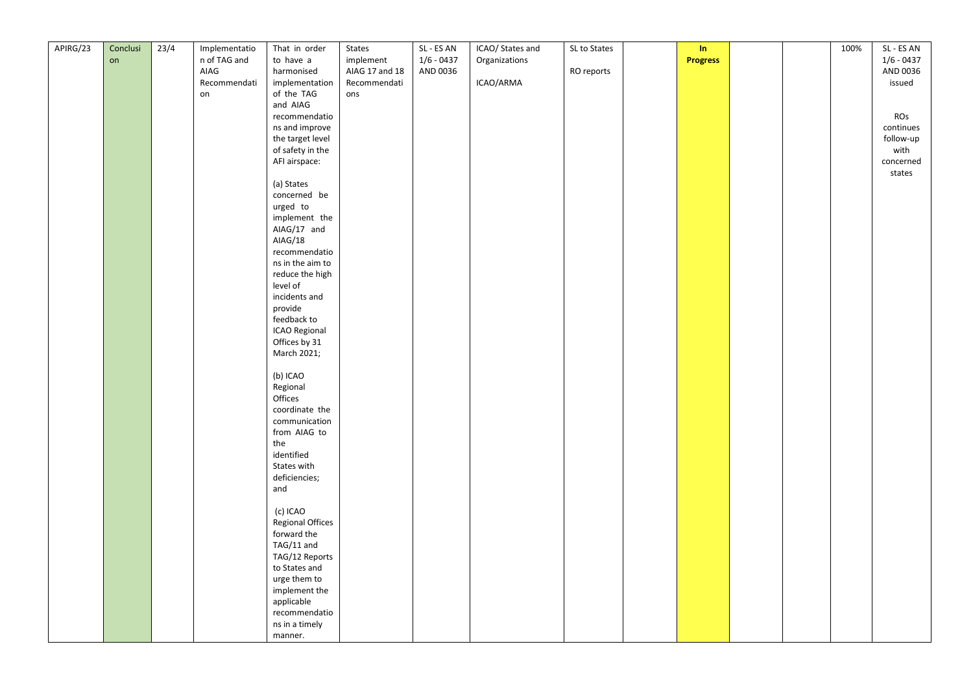| APIRG/23 | Conclusi | 23/4 | Implementatio      | That in order           | States         | SL - ES AN   | ICAO/ States and | SL to States | In              |  | 100% | SL - ES AN   |
|----------|----------|------|--------------------|-------------------------|----------------|--------------|------------------|--------------|-----------------|--|------|--------------|
|          | on       |      | n of TAG and       | to have a               | implement      | $1/6 - 0437$ | Organizations    |              | <b>Progress</b> |  |      | $1/6 - 0437$ |
|          |          |      | AIAG               | harmonised              | AIAG 17 and 18 | AND 0036     |                  | RO reports   |                 |  |      | AND 0036     |
|          |          |      |                    | implementation          | Recommendati   |              | ICAO/ARMA        |              |                 |  |      | issued       |
|          |          |      | Recommendati<br>on | of the TAG              | ons            |              |                  |              |                 |  |      |              |
|          |          |      |                    |                         |                |              |                  |              |                 |  |      |              |
|          |          |      |                    | and AIAG                |                |              |                  |              |                 |  |      |              |
|          |          |      |                    | recommendatio           |                |              |                  |              |                 |  |      | ROs          |
|          |          |      |                    | ns and improve          |                |              |                  |              |                 |  |      | continues    |
|          |          |      |                    | the target level        |                |              |                  |              |                 |  |      | follow-up    |
|          |          |      |                    | of safety in the        |                |              |                  |              |                 |  |      | with         |
|          |          |      |                    | AFI airspace:           |                |              |                  |              |                 |  |      | concerned    |
|          |          |      |                    |                         |                |              |                  |              |                 |  |      | states       |
|          |          |      |                    | (a) States              |                |              |                  |              |                 |  |      |              |
|          |          |      |                    | concerned be            |                |              |                  |              |                 |  |      |              |
|          |          |      |                    | urged to                |                |              |                  |              |                 |  |      |              |
|          |          |      |                    | implement the           |                |              |                  |              |                 |  |      |              |
|          |          |      |                    | AIAG/17 and             |                |              |                  |              |                 |  |      |              |
|          |          |      |                    | AIAG/18                 |                |              |                  |              |                 |  |      |              |
|          |          |      |                    | recommendatio           |                |              |                  |              |                 |  |      |              |
|          |          |      |                    | ns in the aim to        |                |              |                  |              |                 |  |      |              |
|          |          |      |                    | reduce the high         |                |              |                  |              |                 |  |      |              |
|          |          |      |                    | level of                |                |              |                  |              |                 |  |      |              |
|          |          |      |                    | incidents and           |                |              |                  |              |                 |  |      |              |
|          |          |      |                    | provide                 |                |              |                  |              |                 |  |      |              |
|          |          |      |                    | feedback to             |                |              |                  |              |                 |  |      |              |
|          |          |      |                    | ICAO Regional           |                |              |                  |              |                 |  |      |              |
|          |          |      |                    | Offices by 31           |                |              |                  |              |                 |  |      |              |
|          |          |      |                    | March 2021;             |                |              |                  |              |                 |  |      |              |
|          |          |      |                    |                         |                |              |                  |              |                 |  |      |              |
|          |          |      |                    | (b) ICAO                |                |              |                  |              |                 |  |      |              |
|          |          |      |                    | Regional                |                |              |                  |              |                 |  |      |              |
|          |          |      |                    | Offices                 |                |              |                  |              |                 |  |      |              |
|          |          |      |                    | coordinate the          |                |              |                  |              |                 |  |      |              |
|          |          |      |                    | communication           |                |              |                  |              |                 |  |      |              |
|          |          |      |                    | from AIAG to            |                |              |                  |              |                 |  |      |              |
|          |          |      |                    | the                     |                |              |                  |              |                 |  |      |              |
|          |          |      |                    | identified              |                |              |                  |              |                 |  |      |              |
|          |          |      |                    | States with             |                |              |                  |              |                 |  |      |              |
|          |          |      |                    | deficiencies;           |                |              |                  |              |                 |  |      |              |
|          |          |      |                    | and                     |                |              |                  |              |                 |  |      |              |
|          |          |      |                    |                         |                |              |                  |              |                 |  |      |              |
|          |          |      |                    | (c) ICAO                |                |              |                  |              |                 |  |      |              |
|          |          |      |                    | <b>Regional Offices</b> |                |              |                  |              |                 |  |      |              |
|          |          |      |                    | forward the             |                |              |                  |              |                 |  |      |              |
|          |          |      |                    | TAG/11 and              |                |              |                  |              |                 |  |      |              |
|          |          |      |                    | TAG/12 Reports          |                |              |                  |              |                 |  |      |              |
|          |          |      |                    | to States and           |                |              |                  |              |                 |  |      |              |
|          |          |      |                    | urge them to            |                |              |                  |              |                 |  |      |              |
|          |          |      |                    | implement the           |                |              |                  |              |                 |  |      |              |
|          |          |      |                    | applicable              |                |              |                  |              |                 |  |      |              |
|          |          |      |                    | recommendatio           |                |              |                  |              |                 |  |      |              |
|          |          |      |                    | ns in a timely          |                |              |                  |              |                 |  |      |              |
|          |          |      |                    | manner.                 |                |              |                  |              |                 |  |      |              |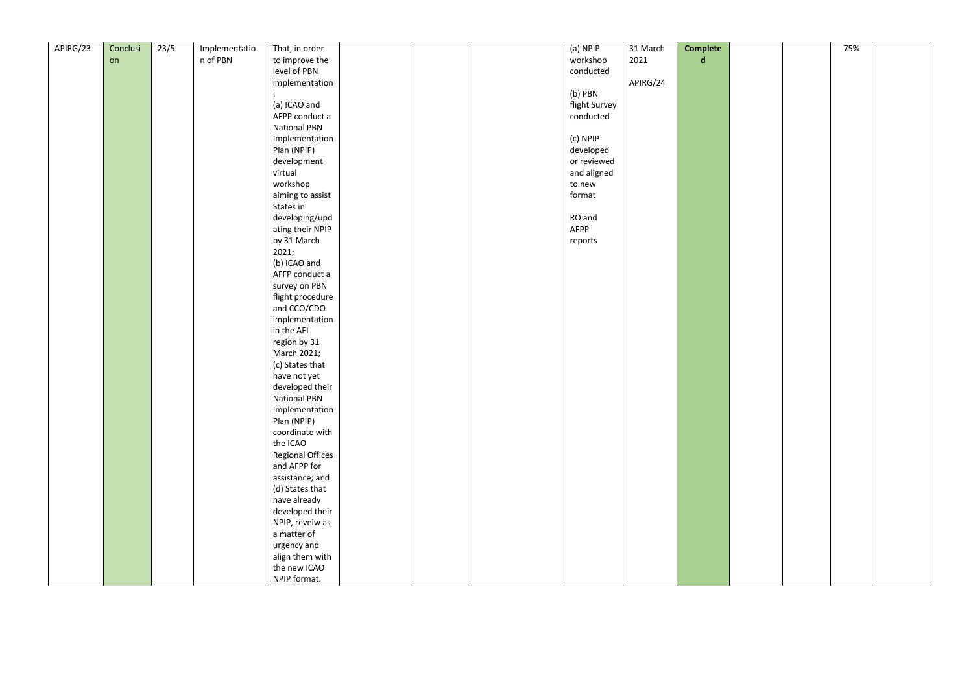| APIRG/23 | Conclusi | 23/5 | Implementatio | That, in order          |  | (a) NPIP      | 31 March | Complete    |  | 75% |  |
|----------|----------|------|---------------|-------------------------|--|---------------|----------|-------------|--|-----|--|
|          | on       |      | n of PBN      | to improve the          |  | workshop      | 2021     | $\mathbf d$ |  |     |  |
|          |          |      |               | level of PBN            |  | conducted     |          |             |  |     |  |
|          |          |      |               | implementation          |  |               | APIRG/24 |             |  |     |  |
|          |          |      |               |                         |  | (b) PBN       |          |             |  |     |  |
|          |          |      |               |                         |  |               |          |             |  |     |  |
|          |          |      |               | (a) ICAO and            |  | flight Survey |          |             |  |     |  |
|          |          |      |               | AFPP conduct a          |  | conducted     |          |             |  |     |  |
|          |          |      |               | <b>National PBN</b>     |  |               |          |             |  |     |  |
|          |          |      |               | Implementation          |  | (c) NPIP      |          |             |  |     |  |
|          |          |      |               | Plan (NPIP)             |  | developed     |          |             |  |     |  |
|          |          |      |               | development             |  | or reviewed   |          |             |  |     |  |
|          |          |      |               | virtual                 |  | and aligned   |          |             |  |     |  |
|          |          |      |               | workshop                |  | to new        |          |             |  |     |  |
|          |          |      |               | aiming to assist        |  | format        |          |             |  |     |  |
|          |          |      |               | States in               |  |               |          |             |  |     |  |
|          |          |      |               | developing/upd          |  | RO and        |          |             |  |     |  |
|          |          |      |               | ating their NPIP        |  | AFPP          |          |             |  |     |  |
|          |          |      |               | by 31 March             |  | reports       |          |             |  |     |  |
|          |          |      |               | 2021;                   |  |               |          |             |  |     |  |
|          |          |      |               | (b) ICAO and            |  |               |          |             |  |     |  |
|          |          |      |               | AFFP conduct a          |  |               |          |             |  |     |  |
|          |          |      |               | survey on PBN           |  |               |          |             |  |     |  |
|          |          |      |               | flight procedure        |  |               |          |             |  |     |  |
|          |          |      |               | and CCO/CDO             |  |               |          |             |  |     |  |
|          |          |      |               | implementation          |  |               |          |             |  |     |  |
|          |          |      |               | in the AFI              |  |               |          |             |  |     |  |
|          |          |      |               | region by 31            |  |               |          |             |  |     |  |
|          |          |      |               | March 2021;             |  |               |          |             |  |     |  |
|          |          |      |               |                         |  |               |          |             |  |     |  |
|          |          |      |               | (c) States that         |  |               |          |             |  |     |  |
|          |          |      |               | have not yet            |  |               |          |             |  |     |  |
|          |          |      |               | developed their         |  |               |          |             |  |     |  |
|          |          |      |               | <b>National PBN</b>     |  |               |          |             |  |     |  |
|          |          |      |               | Implementation          |  |               |          |             |  |     |  |
|          |          |      |               | Plan (NPIP)             |  |               |          |             |  |     |  |
|          |          |      |               | coordinate with         |  |               |          |             |  |     |  |
|          |          |      |               | the ICAO                |  |               |          |             |  |     |  |
|          |          |      |               | <b>Regional Offices</b> |  |               |          |             |  |     |  |
|          |          |      |               | and AFPP for            |  |               |          |             |  |     |  |
|          |          |      |               | assistance; and         |  |               |          |             |  |     |  |
|          |          |      |               | (d) States that         |  |               |          |             |  |     |  |
|          |          |      |               | have already            |  |               |          |             |  |     |  |
|          |          |      |               | developed their         |  |               |          |             |  |     |  |
|          |          |      |               | NPIP, reveiw as         |  |               |          |             |  |     |  |
|          |          |      |               | a matter of             |  |               |          |             |  |     |  |
|          |          |      |               | urgency and             |  |               |          |             |  |     |  |
|          |          |      |               | align them with         |  |               |          |             |  |     |  |
|          |          |      |               | the new ICAO            |  |               |          |             |  |     |  |
|          |          |      |               | NPIP format.            |  |               |          |             |  |     |  |
|          |          |      |               |                         |  |               |          |             |  |     |  |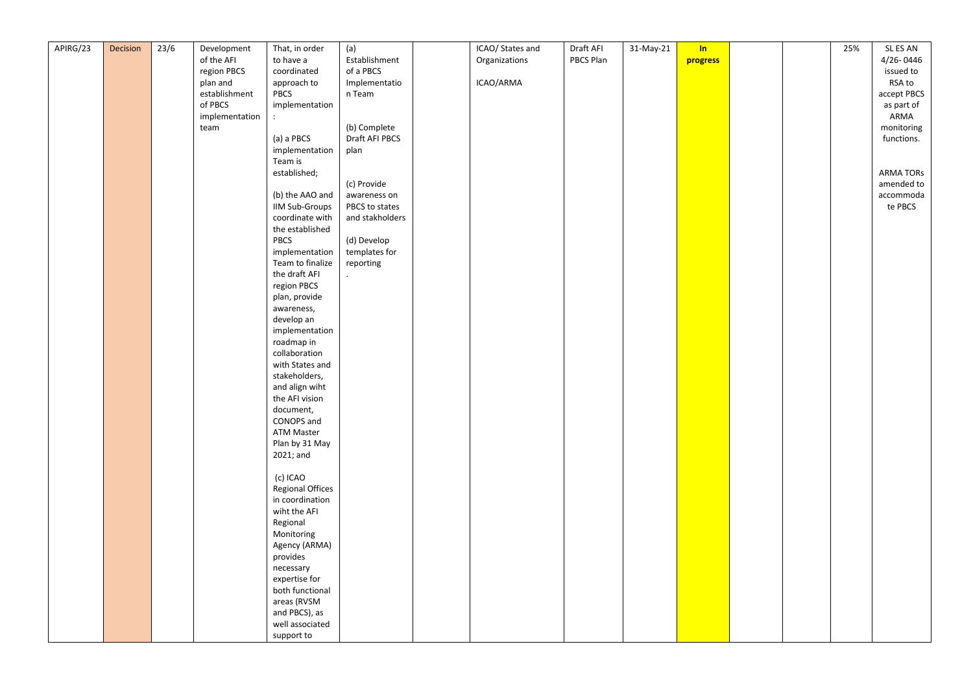| APIRG/23 | <b>Decision</b> | 23/6 | Development    | That, in order          | (a)             | ICAO/ States and | Draft AFI | 31-May-21 | In       |  | 25% | SL ES AN         |
|----------|-----------------|------|----------------|-------------------------|-----------------|------------------|-----------|-----------|----------|--|-----|------------------|
|          |                 |      | of the AFI     | to have a               | Establishment   | Organizations    | PBCS Plan |           | progress |  |     | 4/26-0446        |
|          |                 |      | region PBCS    | coordinated             | of a PBCS       |                  |           |           |          |  |     | issued to        |
|          |                 |      | plan and       | approach to             | Implementatio   | ICAO/ARMA        |           |           |          |  |     | RSA to           |
|          |                 |      | establishment  | PBCS                    | n Team          |                  |           |           |          |  |     | accept PBCS      |
|          |                 |      | of PBCS        | implementation          |                 |                  |           |           |          |  |     | as part of       |
|          |                 |      | implementation | $\ddot{\phantom{a}}$    |                 |                  |           |           |          |  |     | ARMA             |
|          |                 |      | team           |                         | (b) Complete    |                  |           |           |          |  |     | monitoring       |
|          |                 |      |                | (a) a PBCS              | Draft AFI PBCS  |                  |           |           |          |  |     | functions.       |
|          |                 |      |                | implementation          | plan            |                  |           |           |          |  |     |                  |
|          |                 |      |                | Team is                 |                 |                  |           |           |          |  |     |                  |
|          |                 |      |                | established;            |                 |                  |           |           |          |  |     | <b>ARMA TORS</b> |
|          |                 |      |                |                         | (c) Provide     |                  |           |           |          |  |     | amended to       |
|          |                 |      |                | (b) the AAO and         | awareness on    |                  |           |           |          |  |     | accommoda        |
|          |                 |      |                | <b>IIM Sub-Groups</b>   | PBCS to states  |                  |           |           |          |  |     | te PBCS          |
|          |                 |      |                | coordinate with         | and stakholders |                  |           |           |          |  |     |                  |
|          |                 |      |                | the established         |                 |                  |           |           |          |  |     |                  |
|          |                 |      |                | PBCS                    | (d) Develop     |                  |           |           |          |  |     |                  |
|          |                 |      |                | implementation          | templates for   |                  |           |           |          |  |     |                  |
|          |                 |      |                | Team to finalize        | reporting       |                  |           |           |          |  |     |                  |
|          |                 |      |                | the draft AFI           |                 |                  |           |           |          |  |     |                  |
|          |                 |      |                | region PBCS             | $\Box$          |                  |           |           |          |  |     |                  |
|          |                 |      |                | plan, provide           |                 |                  |           |           |          |  |     |                  |
|          |                 |      |                | awareness,              |                 |                  |           |           |          |  |     |                  |
|          |                 |      |                | develop an              |                 |                  |           |           |          |  |     |                  |
|          |                 |      |                | implementation          |                 |                  |           |           |          |  |     |                  |
|          |                 |      |                | roadmap in              |                 |                  |           |           |          |  |     |                  |
|          |                 |      |                | collaboration           |                 |                  |           |           |          |  |     |                  |
|          |                 |      |                | with States and         |                 |                  |           |           |          |  |     |                  |
|          |                 |      |                | stakeholders,           |                 |                  |           |           |          |  |     |                  |
|          |                 |      |                | and align wiht          |                 |                  |           |           |          |  |     |                  |
|          |                 |      |                | the AFI vision          |                 |                  |           |           |          |  |     |                  |
|          |                 |      |                | document,               |                 |                  |           |           |          |  |     |                  |
|          |                 |      |                | CONOPS and              |                 |                  |           |           |          |  |     |                  |
|          |                 |      |                | <b>ATM Master</b>       |                 |                  |           |           |          |  |     |                  |
|          |                 |      |                | Plan by 31 May          |                 |                  |           |           |          |  |     |                  |
|          |                 |      |                | 2021; and               |                 |                  |           |           |          |  |     |                  |
|          |                 |      |                |                         |                 |                  |           |           |          |  |     |                  |
|          |                 |      |                | (c) ICAO                |                 |                  |           |           |          |  |     |                  |
|          |                 |      |                | <b>Regional Offices</b> |                 |                  |           |           |          |  |     |                  |
|          |                 |      |                | in coordination         |                 |                  |           |           |          |  |     |                  |
|          |                 |      |                | wiht the AFI            |                 |                  |           |           |          |  |     |                  |
|          |                 |      |                | Regional                |                 |                  |           |           |          |  |     |                  |
|          |                 |      |                | Monitoring              |                 |                  |           |           |          |  |     |                  |
|          |                 |      |                | Agency (ARMA)           |                 |                  |           |           |          |  |     |                  |
|          |                 |      |                | provides                |                 |                  |           |           |          |  |     |                  |
|          |                 |      |                | necessary               |                 |                  |           |           |          |  |     |                  |
|          |                 |      |                | expertise for           |                 |                  |           |           |          |  |     |                  |
|          |                 |      |                | both functional         |                 |                  |           |           |          |  |     |                  |
|          |                 |      |                | areas (RVSM             |                 |                  |           |           |          |  |     |                  |
|          |                 |      |                | and PBCS), as           |                 |                  |           |           |          |  |     |                  |
|          |                 |      |                | well associated         |                 |                  |           |           |          |  |     |                  |
|          |                 |      |                | support to              |                 |                  |           |           |          |  |     |                  |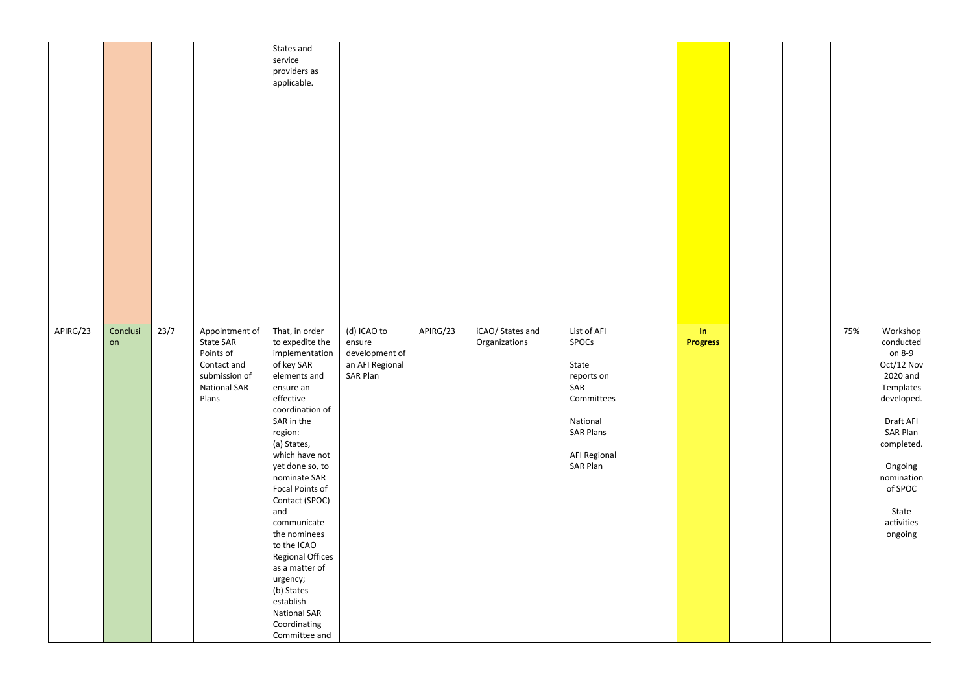|          |                |      |                                                                                                          | States and<br>service<br>providers as<br>applicable.                                                                                                                                                                                                                                                                                                                                                                                                       |                                                                        |          |                                   |                                                                                                                                     |                                         |  |     |                                                                                                                                                                                                   |
|----------|----------------|------|----------------------------------------------------------------------------------------------------------|------------------------------------------------------------------------------------------------------------------------------------------------------------------------------------------------------------------------------------------------------------------------------------------------------------------------------------------------------------------------------------------------------------------------------------------------------------|------------------------------------------------------------------------|----------|-----------------------------------|-------------------------------------------------------------------------------------------------------------------------------------|-----------------------------------------|--|-----|---------------------------------------------------------------------------------------------------------------------------------------------------------------------------------------------------|
| APIRG/23 | Conclusi<br>on | 23/7 | Appointment of<br>State SAR<br>Points of<br>Contact and<br>submission of<br><b>National SAR</b><br>Plans | That, in order<br>to expedite the<br>implementation<br>of key SAR<br>elements and<br>ensure an<br>effective<br>coordination of<br>SAR in the<br>region:<br>(a) States,<br>which have not<br>yet done so, to<br>nominate SAR<br>Focal Points of<br>Contact (SPOC)<br>and<br>communicate<br>the nominees<br>to the ICAO<br>Regional Offices<br>as a matter of<br>urgency;<br>(b) States<br>establish<br><b>National SAR</b><br>Coordinating<br>Committee and | (d) ICAO to<br>ensure<br>development of<br>an AFI Regional<br>SAR Plan | APIRG/23 | iCAO/ States and<br>Organizations | List of AFI<br>SPOCs<br>State<br>reports on<br>SAR<br>Committees<br>National<br><b>SAR Plans</b><br><b>AFI Regional</b><br>SAR Plan | $\mathop{\text{Im}}$<br><b>Progress</b> |  | 75% | Workshop<br>conducted<br>on 8-9<br>Oct/12 Nov<br>2020 and<br>Templates<br>developed.<br>Draft AFI<br>SAR Plan<br>completed.<br>Ongoing<br>nomination<br>of SPOC<br>State<br>activities<br>ongoing |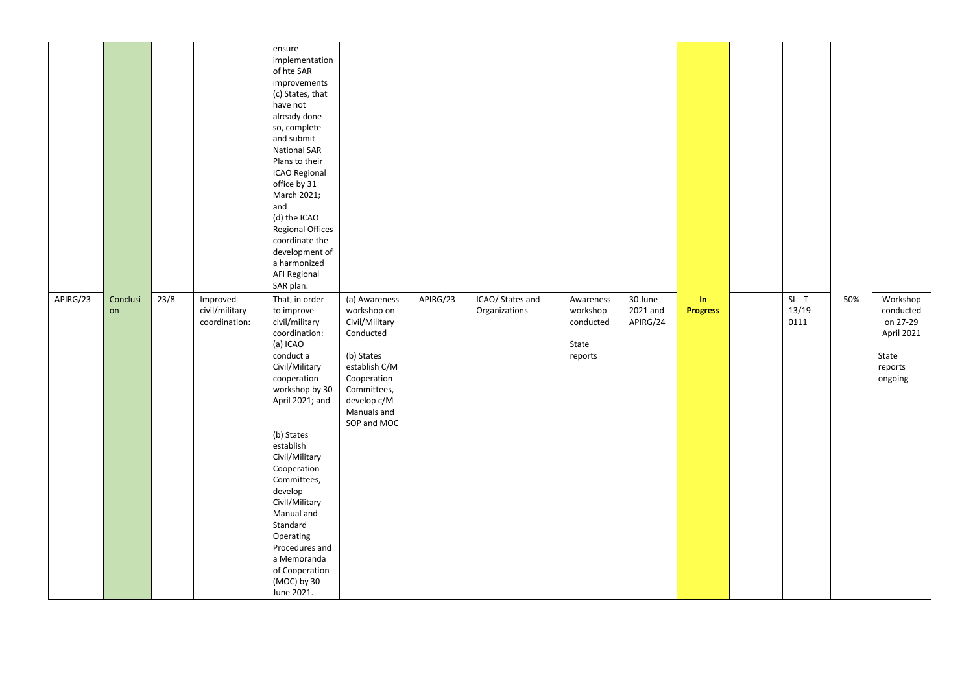|          |                |      |                                             | ensure<br>implementation<br>of hte SAR<br>improvements<br>(c) States, that<br>have not<br>already done<br>so, complete<br>and submit<br><b>National SAR</b><br>Plans to their<br>ICAO Regional<br>office by 31<br>March 2021;<br>and<br>(d) the ICAO<br><b>Regional Offices</b><br>coordinate the<br>development of<br>a harmonized<br>AFI Regional<br>SAR plan.                              |                                                                                                                                                                       |          |                                   |                                                        |                                 |                       |                               |     |                                                                                |
|----------|----------------|------|---------------------------------------------|-----------------------------------------------------------------------------------------------------------------------------------------------------------------------------------------------------------------------------------------------------------------------------------------------------------------------------------------------------------------------------------------------|-----------------------------------------------------------------------------------------------------------------------------------------------------------------------|----------|-----------------------------------|--------------------------------------------------------|---------------------------------|-----------------------|-------------------------------|-----|--------------------------------------------------------------------------------|
| APIRG/23 | Conclusi<br>on | 23/8 | Improved<br>civil/military<br>coordination: | That, in order<br>to improve<br>civil/military<br>coordination:<br>(a) ICAO<br>conduct a<br>Civil/Military<br>cooperation<br>workshop by 30<br>April 2021; and<br>(b) States<br>establish<br>Civil/Military<br>Cooperation<br>Committees,<br>develop<br>Civll/Military<br>Manual and<br>Standard<br>Operating<br>Procedures and<br>a Memoranda<br>of Cooperation<br>(MOC) by 30<br>June 2021. | (a) Awareness<br>workshop on<br>Civil/Military<br>Conducted<br>(b) States<br>establish C/M<br>Cooperation<br>Committees,<br>develop c/M<br>Manuals and<br>SOP and MOC | APIRG/23 | ICAO/ States and<br>Organizations | Awareness<br>workshop<br>conducted<br>State<br>reports | 30 June<br>2021 and<br>APIRG/24 | In<br><b>Progress</b> | $SL - T$<br>$13/19 -$<br>0111 | 50% | Workshop<br>conducted<br>on 27-29<br>April 2021<br>State<br>reports<br>ongoing |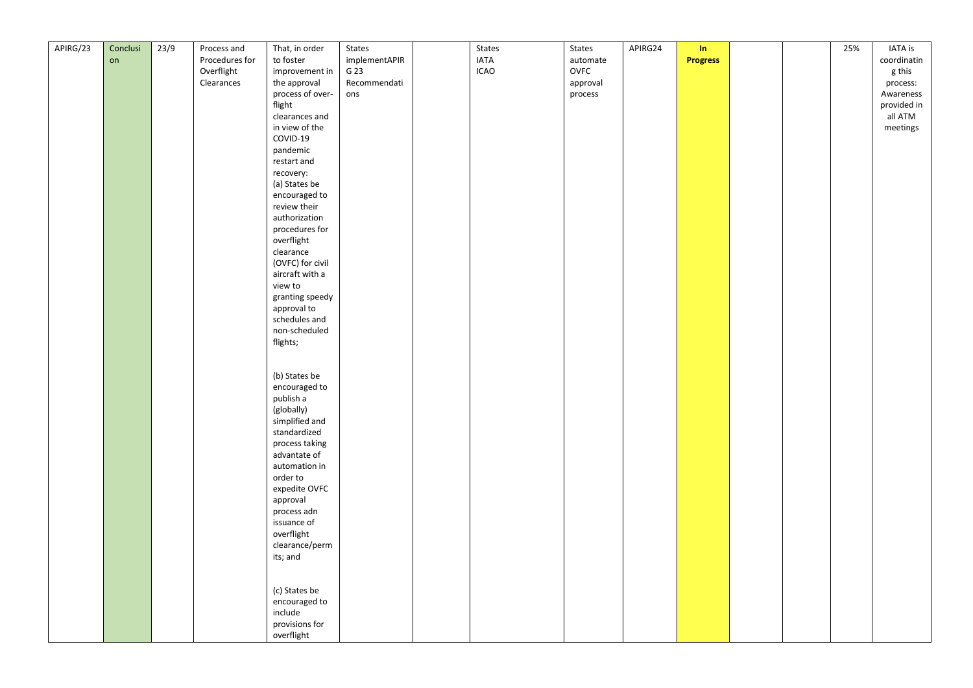| APIRG/23 | Conclusi | 23/9 | Process and    | That, in order   | States        | States      | States           | APIRG24 | In              |  | 25% | <b>IATA</b> is |
|----------|----------|------|----------------|------------------|---------------|-------------|------------------|---------|-----------------|--|-----|----------------|
|          | on       |      | Procedures for | to foster        | implementAPIR | <b>IATA</b> |                  |         | <b>Progress</b> |  |     | coordinatin    |
|          |          |      |                |                  | G 23          |             | automate<br>OVFC |         |                 |  |     |                |
|          |          |      | Overflight     | improvement in   |               | <b>ICAO</b> |                  |         |                 |  |     | g this         |
|          |          |      | Clearances     | the approval     | Recommendati  |             | approval         |         |                 |  |     | process:       |
|          |          |      |                | process of over- | ons           |             | process          |         |                 |  |     | Awareness      |
|          |          |      |                | flight           |               |             |                  |         |                 |  |     | provided in    |
|          |          |      |                | clearances and   |               |             |                  |         |                 |  |     | all ATM        |
|          |          |      |                | in view of the   |               |             |                  |         |                 |  |     | meetings       |
|          |          |      |                | COVID-19         |               |             |                  |         |                 |  |     |                |
|          |          |      |                | pandemic         |               |             |                  |         |                 |  |     |                |
|          |          |      |                | restart and      |               |             |                  |         |                 |  |     |                |
|          |          |      |                | recovery:        |               |             |                  |         |                 |  |     |                |
|          |          |      |                | (a) States be    |               |             |                  |         |                 |  |     |                |
|          |          |      |                | encouraged to    |               |             |                  |         |                 |  |     |                |
|          |          |      |                | review their     |               |             |                  |         |                 |  |     |                |
|          |          |      |                | authorization    |               |             |                  |         |                 |  |     |                |
|          |          |      |                | procedures for   |               |             |                  |         |                 |  |     |                |
|          |          |      |                | overflight       |               |             |                  |         |                 |  |     |                |
|          |          |      |                | clearance        |               |             |                  |         |                 |  |     |                |
|          |          |      |                | (OVFC) for civil |               |             |                  |         |                 |  |     |                |
|          |          |      |                | aircraft with a  |               |             |                  |         |                 |  |     |                |
|          |          |      |                |                  |               |             |                  |         |                 |  |     |                |
|          |          |      |                | view to          |               |             |                  |         |                 |  |     |                |
|          |          |      |                | granting speedy  |               |             |                  |         |                 |  |     |                |
|          |          |      |                | approval to      |               |             |                  |         |                 |  |     |                |
|          |          |      |                | schedules and    |               |             |                  |         |                 |  |     |                |
|          |          |      |                | non-scheduled    |               |             |                  |         |                 |  |     |                |
|          |          |      |                | flights;         |               |             |                  |         |                 |  |     |                |
|          |          |      |                |                  |               |             |                  |         |                 |  |     |                |
|          |          |      |                |                  |               |             |                  |         |                 |  |     |                |
|          |          |      |                | (b) States be    |               |             |                  |         |                 |  |     |                |
|          |          |      |                | encouraged to    |               |             |                  |         |                 |  |     |                |
|          |          |      |                | publish a        |               |             |                  |         |                 |  |     |                |
|          |          |      |                | (globally)       |               |             |                  |         |                 |  |     |                |
|          |          |      |                | simplified and   |               |             |                  |         |                 |  |     |                |
|          |          |      |                | standardized     |               |             |                  |         |                 |  |     |                |
|          |          |      |                | process taking   |               |             |                  |         |                 |  |     |                |
|          |          |      |                | advantate of     |               |             |                  |         |                 |  |     |                |
|          |          |      |                | automation in    |               |             |                  |         |                 |  |     |                |
|          |          |      |                | order to         |               |             |                  |         |                 |  |     |                |
|          |          |      |                | expedite OVFC    |               |             |                  |         |                 |  |     |                |
|          |          |      |                | approval         |               |             |                  |         |                 |  |     |                |
|          |          |      |                | process adn      |               |             |                  |         |                 |  |     |                |
|          |          |      |                | issuance of      |               |             |                  |         |                 |  |     |                |
|          |          |      |                | overflight       |               |             |                  |         |                 |  |     |                |
|          |          |      |                | clearance/perm   |               |             |                  |         |                 |  |     |                |
|          |          |      |                | its; and         |               |             |                  |         |                 |  |     |                |
|          |          |      |                |                  |               |             |                  |         |                 |  |     |                |
|          |          |      |                |                  |               |             |                  |         |                 |  |     |                |
|          |          |      |                | (c) States be    |               |             |                  |         |                 |  |     |                |
|          |          |      |                | encouraged to    |               |             |                  |         |                 |  |     |                |
|          |          |      |                | include          |               |             |                  |         |                 |  |     |                |
|          |          |      |                |                  |               |             |                  |         |                 |  |     |                |
|          |          |      |                | provisions for   |               |             |                  |         |                 |  |     |                |
|          |          |      |                | overflight       |               |             |                  |         |                 |  |     |                |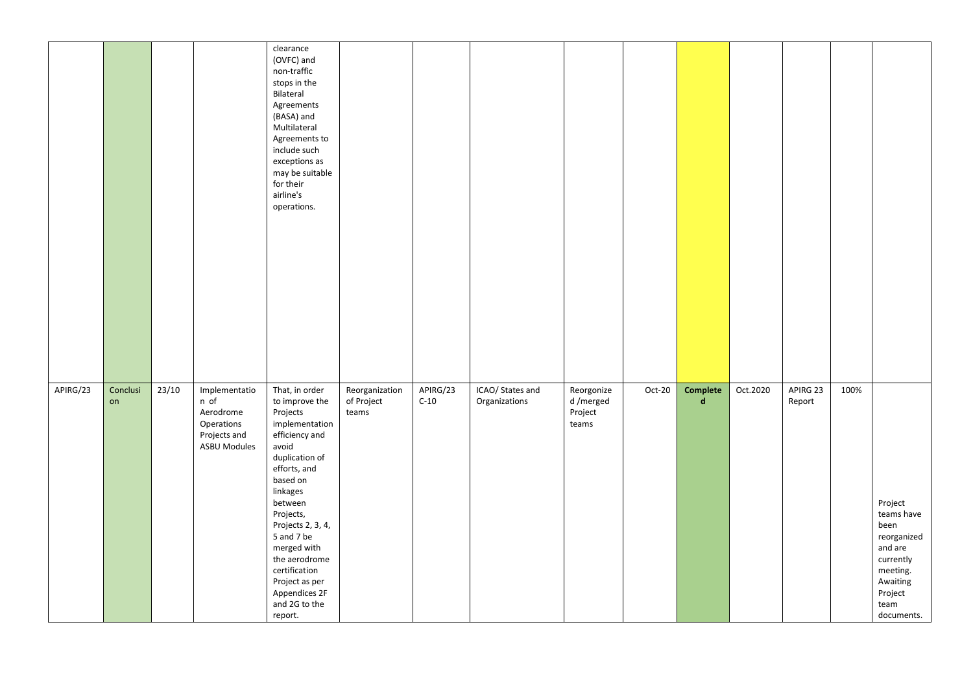|          |                |       |                                                                                         | clearance<br>(OVFC) and<br>non-traffic<br>stops in the<br>Bilateral<br>Agreements<br>(BASA) and<br>Multilateral<br>Agreements to<br>include such<br>exceptions as<br>may be suitable<br>for their<br>airline's<br>operations.                                                                                                  |                                       |                    |                                   |                                            |        |                         |          |                    |      |                                                                                                                               |
|----------|----------------|-------|-----------------------------------------------------------------------------------------|--------------------------------------------------------------------------------------------------------------------------------------------------------------------------------------------------------------------------------------------------------------------------------------------------------------------------------|---------------------------------------|--------------------|-----------------------------------|--------------------------------------------|--------|-------------------------|----------|--------------------|------|-------------------------------------------------------------------------------------------------------------------------------|
| APIRG/23 | Conclusi<br>on | 23/10 | Implementatio<br>n of<br>Aerodrome<br>Operations<br>Projects and<br><b>ASBU Modules</b> | That, in order<br>to improve the<br>Projects<br>implementation<br>efficiency and<br>avoid<br>duplication of<br>efforts, and<br>based on<br>linkages<br>between<br>Projects,<br>Projects 2, 3, 4,<br>5 and 7 be<br>merged with<br>the aerodrome<br>certification<br>Project as per<br>Appendices 2F<br>and 2G to the<br>report. | Reorganization<br>of Project<br>teams | APIRG/23<br>$C-10$ | ICAO/ States and<br>Organizations | Reorgonize<br>d/merged<br>Project<br>teams | Oct-20 | Complete<br>$\mathbf d$ | Oct.2020 | APIRG 23<br>Report | 100% | Project<br>teams have<br>been<br>reorganized<br>and are<br>currently<br>meeting.<br>Awaiting<br>Project<br>team<br>documents. |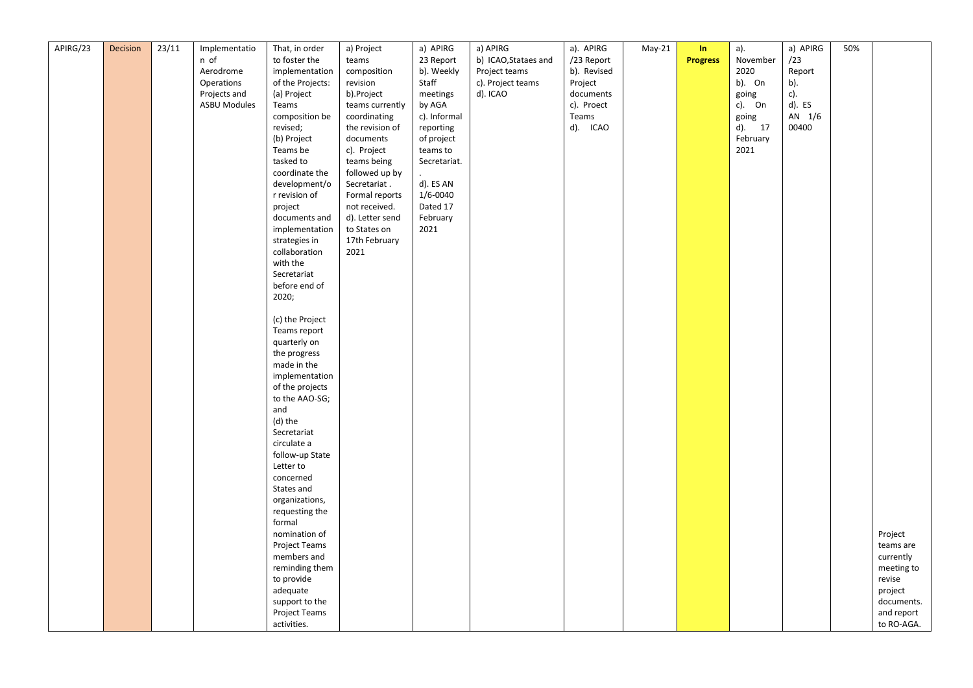| APIRG/23 | Decision | 23/11 | Implementatio       | That, in order         | a) Project      | a) APIRG     | a) APIRG             | a). APIRG   | $May-21$ | In              | a).       | a) APIRG  | 50% |            |
|----------|----------|-------|---------------------|------------------------|-----------------|--------------|----------------------|-------------|----------|-----------------|-----------|-----------|-----|------------|
|          |          |       | n of                | to foster the          | teams           | 23 Report    | b) ICAO, Stataes and | /23 Report  |          | <b>Progress</b> | November  | /23       |     |            |
|          |          |       | Aerodrome           | implementation         | composition     | b). Weekly   | Project teams        | b). Revised |          |                 | 2020      | Report    |     |            |
|          |          |       | Operations          | of the Projects:       | revision        | Staff        | c). Project teams    | Project     |          |                 | b). On    | b).       |     |            |
|          |          |       | Projects and        | (a) Project            | b).Project      | meetings     | d). ICAO             | documents   |          |                 | going     | c).       |     |            |
|          |          |       | <b>ASBU Modules</b> | Teams                  | teams currently | by AGA       |                      | c). Proect  |          |                 | c). On    | $d$ ). ES |     |            |
|          |          |       |                     | composition be         | coordinating    | c). Informal |                      | Teams       |          |                 | going     | AN 1/6    |     |            |
|          |          |       |                     | revised;               | the revision of | reporting    |                      | d). ICAO    |          |                 | $d$ ). 17 | 00400     |     |            |
|          |          |       |                     | (b) Project            | documents       | of project   |                      |             |          |                 | February  |           |     |            |
|          |          |       |                     | Teams be               | c). Project     | teams to     |                      |             |          |                 | 2021      |           |     |            |
|          |          |       |                     | tasked to              | teams being     | Secretariat. |                      |             |          |                 |           |           |     |            |
|          |          |       |                     | coordinate the         | followed up by  |              |                      |             |          |                 |           |           |     |            |
|          |          |       |                     | development/o          | Secretariat.    | d). ES AN    |                      |             |          |                 |           |           |     |            |
|          |          |       |                     | r revision of          | Formal reports  | 1/6-0040     |                      |             |          |                 |           |           |     |            |
|          |          |       |                     | project                | not received.   | Dated 17     |                      |             |          |                 |           |           |     |            |
|          |          |       |                     | documents and          | d). Letter send | February     |                      |             |          |                 |           |           |     |            |
|          |          |       |                     | implementation         | to States on    | 2021         |                      |             |          |                 |           |           |     |            |
|          |          |       |                     | strategies in          | 17th February   |              |                      |             |          |                 |           |           |     |            |
|          |          |       |                     | collaboration          | 2021            |              |                      |             |          |                 |           |           |     |            |
|          |          |       |                     | with the               |                 |              |                      |             |          |                 |           |           |     |            |
|          |          |       |                     | Secretariat            |                 |              |                      |             |          |                 |           |           |     |            |
|          |          |       |                     | before end of          |                 |              |                      |             |          |                 |           |           |     |            |
|          |          |       |                     | 2020;                  |                 |              |                      |             |          |                 |           |           |     |            |
|          |          |       |                     |                        |                 |              |                      |             |          |                 |           |           |     |            |
|          |          |       |                     | (c) the Project        |                 |              |                      |             |          |                 |           |           |     |            |
|          |          |       |                     | Teams report           |                 |              |                      |             |          |                 |           |           |     |            |
|          |          |       |                     | quarterly on           |                 |              |                      |             |          |                 |           |           |     |            |
|          |          |       |                     | the progress           |                 |              |                      |             |          |                 |           |           |     |            |
|          |          |       |                     | made in the            |                 |              |                      |             |          |                 |           |           |     |            |
|          |          |       |                     | implementation         |                 |              |                      |             |          |                 |           |           |     |            |
|          |          |       |                     | of the projects        |                 |              |                      |             |          |                 |           |           |     |            |
|          |          |       |                     | to the AAO-SG;         |                 |              |                      |             |          |                 |           |           |     |            |
|          |          |       |                     | and                    |                 |              |                      |             |          |                 |           |           |     |            |
|          |          |       |                     | (d) the                |                 |              |                      |             |          |                 |           |           |     |            |
|          |          |       |                     | Secretariat            |                 |              |                      |             |          |                 |           |           |     |            |
|          |          |       |                     | circulate a            |                 |              |                      |             |          |                 |           |           |     |            |
|          |          |       |                     | follow-up State        |                 |              |                      |             |          |                 |           |           |     |            |
|          |          |       |                     | Letter to<br>concerned |                 |              |                      |             |          |                 |           |           |     |            |
|          |          |       |                     | States and             |                 |              |                      |             |          |                 |           |           |     |            |
|          |          |       |                     | organizations,         |                 |              |                      |             |          |                 |           |           |     |            |
|          |          |       |                     | requesting the         |                 |              |                      |             |          |                 |           |           |     |            |
|          |          |       |                     | formal                 |                 |              |                      |             |          |                 |           |           |     |            |
|          |          |       |                     | nomination of          |                 |              |                      |             |          |                 |           |           |     | Project    |
|          |          |       |                     | Project Teams          |                 |              |                      |             |          |                 |           |           |     | teams are  |
|          |          |       |                     | members and            |                 |              |                      |             |          |                 |           |           |     | currently  |
|          |          |       |                     | reminding them         |                 |              |                      |             |          |                 |           |           |     | meeting to |
|          |          |       |                     | to provide             |                 |              |                      |             |          |                 |           |           |     | revise     |
|          |          |       |                     | adequate               |                 |              |                      |             |          |                 |           |           |     | project    |
|          |          |       |                     | support to the         |                 |              |                      |             |          |                 |           |           |     | documents. |
|          |          |       |                     | <b>Project Teams</b>   |                 |              |                      |             |          |                 |           |           |     | and report |
|          |          |       |                     | activities.            |                 |              |                      |             |          |                 |           |           |     | to RO-AGA. |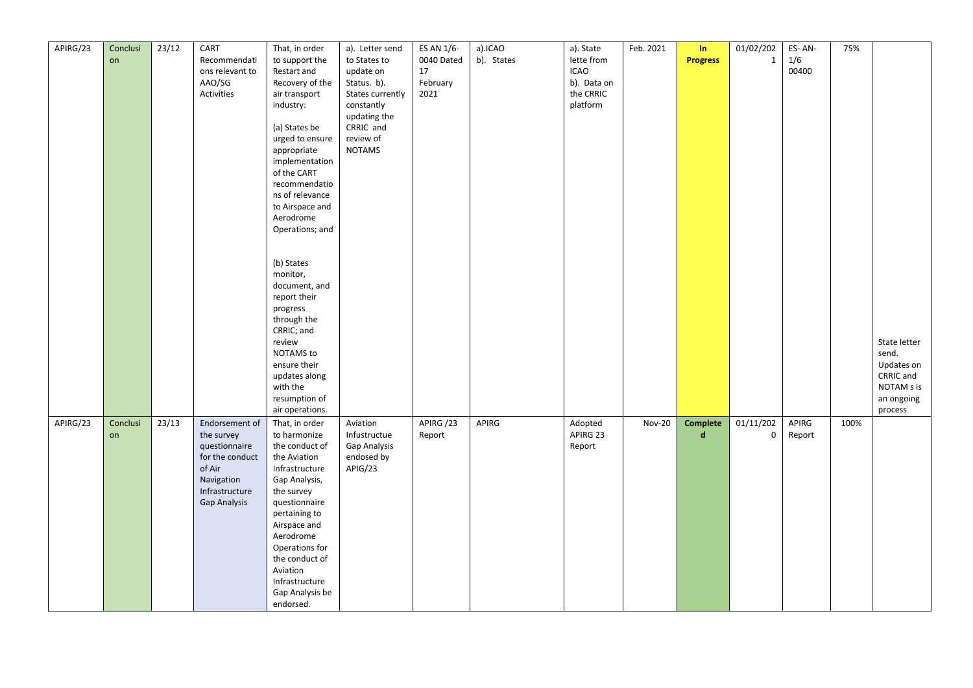| APIRG/23 | Conclusi | 23/12 | CART                | That, in order  | a). Letter send  | ES AN 1/6- | a).ICAO    | a). State   | Feb. 2021     | In              | 01/02/202    | ES-AN- | 75%  |              |
|----------|----------|-------|---------------------|-----------------|------------------|------------|------------|-------------|---------------|-----------------|--------------|--------|------|--------------|
|          | on       |       | Recommendati        | to support the  | to States to     | 0040 Dated | b). States | lette from  |               | <b>Progress</b> | $\mathbf{1}$ | $1/6$  |      |              |
|          |          |       | ons relevant to     | Restart and     | update on        | 17         |            | <b>ICAO</b> |               |                 |              | 00400  |      |              |
|          |          |       | AAO/SG              | Recovery of the | Status. b).      | February   |            | b). Data on |               |                 |              |        |      |              |
|          |          |       | Activities          | air transport   | States currently | 2021       |            | the CRRIC   |               |                 |              |        |      |              |
|          |          |       |                     | industry:       | constantly       |            |            | platform    |               |                 |              |        |      |              |
|          |          |       |                     |                 | updating the     |            |            |             |               |                 |              |        |      |              |
|          |          |       |                     | (a) States be   | CRRIC and        |            |            |             |               |                 |              |        |      |              |
|          |          |       |                     | urged to ensure | review of        |            |            |             |               |                 |              |        |      |              |
|          |          |       |                     |                 | <b>NOTAMS</b>    |            |            |             |               |                 |              |        |      |              |
|          |          |       |                     | appropriate     |                  |            |            |             |               |                 |              |        |      |              |
|          |          |       |                     | implementation  |                  |            |            |             |               |                 |              |        |      |              |
|          |          |       |                     | of the CART     |                  |            |            |             |               |                 |              |        |      |              |
|          |          |       |                     | recommendatio   |                  |            |            |             |               |                 |              |        |      |              |
|          |          |       |                     | ns of relevance |                  |            |            |             |               |                 |              |        |      |              |
|          |          |       |                     | to Airspace and |                  |            |            |             |               |                 |              |        |      |              |
|          |          |       |                     | Aerodrome       |                  |            |            |             |               |                 |              |        |      |              |
|          |          |       |                     | Operations; and |                  |            |            |             |               |                 |              |        |      |              |
|          |          |       |                     |                 |                  |            |            |             |               |                 |              |        |      |              |
|          |          |       |                     |                 |                  |            |            |             |               |                 |              |        |      |              |
|          |          |       |                     | (b) States      |                  |            |            |             |               |                 |              |        |      |              |
|          |          |       |                     | monitor,        |                  |            |            |             |               |                 |              |        |      |              |
|          |          |       |                     | document, and   |                  |            |            |             |               |                 |              |        |      |              |
|          |          |       |                     | report their    |                  |            |            |             |               |                 |              |        |      |              |
|          |          |       |                     | progress        |                  |            |            |             |               |                 |              |        |      |              |
|          |          |       |                     | through the     |                  |            |            |             |               |                 |              |        |      |              |
|          |          |       |                     | CRRIC; and      |                  |            |            |             |               |                 |              |        |      |              |
|          |          |       |                     | review          |                  |            |            |             |               |                 |              |        |      | State letter |
|          |          |       |                     | NOTAMS to       |                  |            |            |             |               |                 |              |        |      | send.        |
|          |          |       |                     | ensure their    |                  |            |            |             |               |                 |              |        |      | Updates on   |
|          |          |       |                     | updates along   |                  |            |            |             |               |                 |              |        |      | CRRIC and    |
|          |          |       |                     | with the        |                  |            |            |             |               |                 |              |        |      | NOTAM s is   |
|          |          |       |                     | resumption of   |                  |            |            |             |               |                 |              |        |      | an ongoing   |
|          |          |       |                     | air operations. |                  |            |            |             |               |                 |              |        |      | process      |
| APIRG/23 | Conclusi | 23/13 | Endorsement of      | That, in order  | Aviation         | APIRG /23  | APIRG      | Adopted     | <b>Nov-20</b> | Complete        | 01/11/202    | APIRG  | 100% |              |
|          | on       |       | the survey          | to harmonize    | Infustructue     | Report     |            | APIRG 23    |               | $\mathbf d$     | 0            | Report |      |              |
|          |          |       | questionnaire       | the conduct of  | Gap Analysis     |            |            | Report      |               |                 |              |        |      |              |
|          |          |       | for the conduct     | the Aviation    | endosed by       |            |            |             |               |                 |              |        |      |              |
|          |          |       | of Air              | Infrastructure  | APIG/23          |            |            |             |               |                 |              |        |      |              |
|          |          |       | Navigation          | Gap Analysis,   |                  |            |            |             |               |                 |              |        |      |              |
|          |          |       | Infrastructure      | the survey      |                  |            |            |             |               |                 |              |        |      |              |
|          |          |       | <b>Gap Analysis</b> | questionnaire   |                  |            |            |             |               |                 |              |        |      |              |
|          |          |       |                     | pertaining to   |                  |            |            |             |               |                 |              |        |      |              |
|          |          |       |                     | Airspace and    |                  |            |            |             |               |                 |              |        |      |              |
|          |          |       |                     | Aerodrome       |                  |            |            |             |               |                 |              |        |      |              |
|          |          |       |                     | Operations for  |                  |            |            |             |               |                 |              |        |      |              |
|          |          |       |                     | the conduct of  |                  |            |            |             |               |                 |              |        |      |              |
|          |          |       |                     | Aviation        |                  |            |            |             |               |                 |              |        |      |              |
|          |          |       |                     | Infrastructure  |                  |            |            |             |               |                 |              |        |      |              |
|          |          |       |                     | Gap Analysis be |                  |            |            |             |               |                 |              |        |      |              |
|          |          |       |                     | endorsed.       |                  |            |            |             |               |                 |              |        |      |              |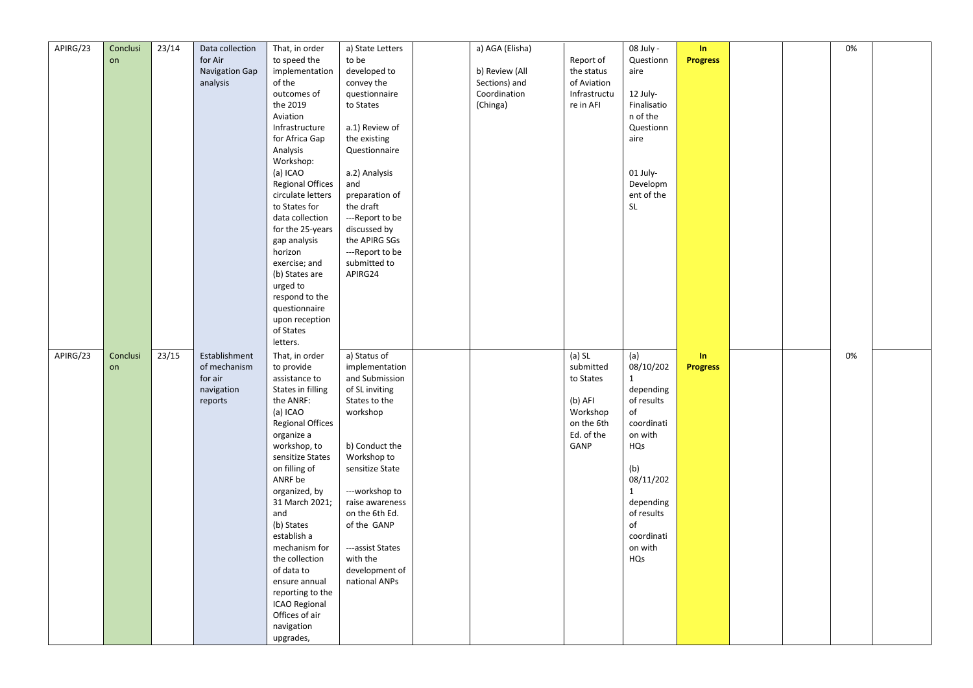| APIRG/23 | Conclusi | 23/14 | Data collection       | That, in order          | a) State Letters                | a) AGA (Elisha) |              | 08 July -    | In              |  | 0% |  |
|----------|----------|-------|-----------------------|-------------------------|---------------------------------|-----------------|--------------|--------------|-----------------|--|----|--|
|          | on       |       | for Air               | to speed the            | to be                           |                 | Report of    | Questionn    | <b>Progress</b> |  |    |  |
|          |          |       | <b>Navigation Gap</b> | implementation          | developed to                    | b) Review (All  | the status   | aire         |                 |  |    |  |
|          |          |       | analysis              | of the                  | convey the                      | Sections) and   | of Aviation  |              |                 |  |    |  |
|          |          |       |                       | outcomes of             | questionnaire                   | Coordination    | Infrastructu | 12 July-     |                 |  |    |  |
|          |          |       |                       | the 2019                | to States                       | (Chinga)        | re in AFI    | Finalisatio  |                 |  |    |  |
|          |          |       |                       | Aviation                |                                 |                 |              | n of the     |                 |  |    |  |
|          |          |       |                       | Infrastructure          | a.1) Review of                  |                 |              | Questionn    |                 |  |    |  |
|          |          |       |                       |                         |                                 |                 |              |              |                 |  |    |  |
|          |          |       |                       | for Africa Gap          | the existing                    |                 |              | aire         |                 |  |    |  |
|          |          |       |                       | Analysis                | Questionnaire                   |                 |              |              |                 |  |    |  |
|          |          |       |                       | Workshop:               |                                 |                 |              |              |                 |  |    |  |
|          |          |       |                       | (a) ICAO                | a.2) Analysis                   |                 |              | 01 July-     |                 |  |    |  |
|          |          |       |                       | <b>Regional Offices</b> | and                             |                 |              | Developm     |                 |  |    |  |
|          |          |       |                       | circulate letters       | preparation of                  |                 |              | ent of the   |                 |  |    |  |
|          |          |       |                       | to States for           | the draft                       |                 |              | <b>SL</b>    |                 |  |    |  |
|          |          |       |                       | data collection         | ---Report to be                 |                 |              |              |                 |  |    |  |
|          |          |       |                       | for the 25-years        | discussed by                    |                 |              |              |                 |  |    |  |
|          |          |       |                       | gap analysis            | the APIRG SGs                   |                 |              |              |                 |  |    |  |
|          |          |       |                       | horizon                 | ---Report to be                 |                 |              |              |                 |  |    |  |
|          |          |       |                       | exercise; and           | submitted to                    |                 |              |              |                 |  |    |  |
|          |          |       |                       | (b) States are          | APIRG24                         |                 |              |              |                 |  |    |  |
|          |          |       |                       | urged to                |                                 |                 |              |              |                 |  |    |  |
|          |          |       |                       | respond to the          |                                 |                 |              |              |                 |  |    |  |
|          |          |       |                       | questionnaire           |                                 |                 |              |              |                 |  |    |  |
|          |          |       |                       | upon reception          |                                 |                 |              |              |                 |  |    |  |
|          |          |       |                       | of States               |                                 |                 |              |              |                 |  |    |  |
|          |          |       |                       |                         |                                 |                 |              |              |                 |  |    |  |
|          |          |       |                       | letters.                |                                 |                 |              |              |                 |  |    |  |
| APIRG/23 | Conclusi | 23/15 | Establishment         | That, in order          | a) Status of                    |                 | $(a)$ SL     | (a)          | In              |  | 0% |  |
|          | on       |       | of mechanism          | to provide              | implementation                  |                 | submitted    | 08/10/202    | <b>Progress</b> |  |    |  |
|          |          |       | for air               | assistance to           | and Submission                  |                 | to States    | $\mathbf{1}$ |                 |  |    |  |
|          |          |       | navigation            | States in filling       | of SL inviting                  |                 |              | depending    |                 |  |    |  |
|          |          |       | reports               | the ANRF:               | States to the                   |                 | (b) AFI      | of results   |                 |  |    |  |
|          |          |       |                       | (a) ICAO                | workshop                        |                 | Workshop     | of           |                 |  |    |  |
|          |          |       |                       | <b>Regional Offices</b> |                                 |                 | on the 6th   | coordinati   |                 |  |    |  |
|          |          |       |                       | organize a              |                                 |                 | Ed. of the   | on with      |                 |  |    |  |
|          |          |       |                       | workshop, to            | b) Conduct the                  |                 | GANP         | HQs          |                 |  |    |  |
|          |          |       |                       | sensitize States        | Workshop to                     |                 |              |              |                 |  |    |  |
|          |          |       |                       | on filling of           | sensitize State                 |                 |              | (b)          |                 |  |    |  |
|          |          |       |                       | ANRF be                 |                                 |                 |              | 08/11/202    |                 |  |    |  |
|          |          |       |                       | organized, by           | ---workshop to                  |                 |              | $\mathbf{1}$ |                 |  |    |  |
|          |          |       |                       | 31 March 2021;          | raise awareness                 |                 |              | depending    |                 |  |    |  |
|          |          |       |                       | and                     | on the 6th Ed.                  |                 |              | of results   |                 |  |    |  |
|          |          |       |                       | (b) States              | of the GANP                     |                 |              | of           |                 |  |    |  |
|          |          |       |                       | establish a             |                                 |                 |              | coordinati   |                 |  |    |  |
|          |          |       |                       | mechanism for           | ---assist States                |                 |              | on with      |                 |  |    |  |
|          |          |       |                       | the collection          | with the                        |                 |              | HQs          |                 |  |    |  |
|          |          |       |                       | of data to              |                                 |                 |              |              |                 |  |    |  |
|          |          |       |                       | ensure annual           | development of<br>national ANPs |                 |              |              |                 |  |    |  |
|          |          |       |                       | reporting to the        |                                 |                 |              |              |                 |  |    |  |
|          |          |       |                       |                         |                                 |                 |              |              |                 |  |    |  |
|          |          |       |                       | <b>ICAO Regional</b>    |                                 |                 |              |              |                 |  |    |  |
|          |          |       |                       | Offices of air          |                                 |                 |              |              |                 |  |    |  |
|          |          |       |                       | navigation<br>upgrades, |                                 |                 |              |              |                 |  |    |  |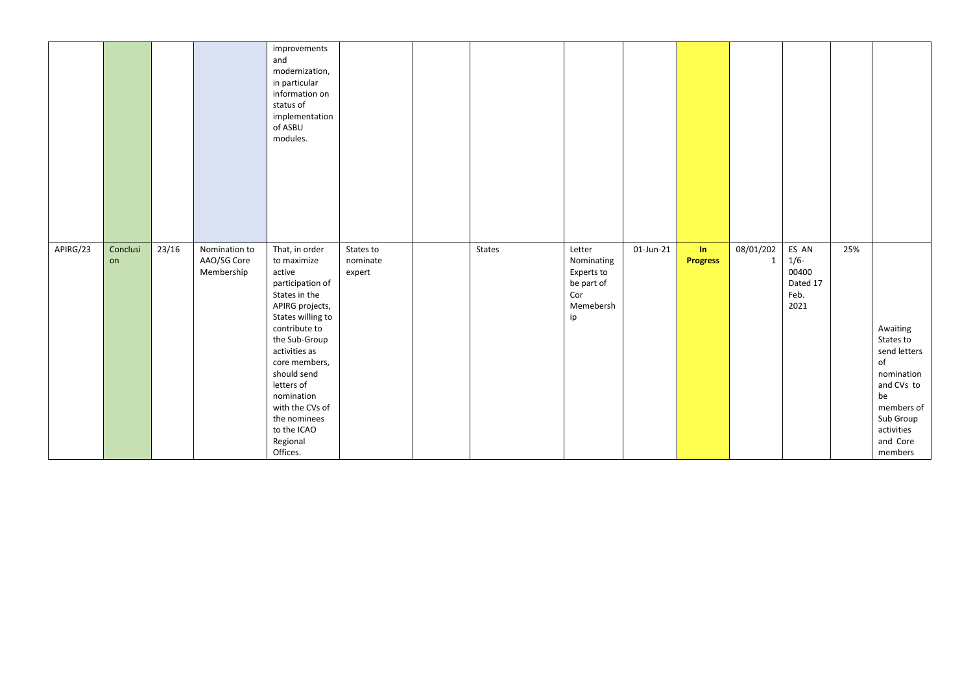|          |                |       |                                            | improvements<br>and<br>modernization,<br>in particular<br>information on<br>status of<br>implementation<br>of ASBU<br>modules.                                                                                                                                                                                |                                 |        |                                                                            |              |                       |                |                                                       |     |                                                                                                                                               |
|----------|----------------|-------|--------------------------------------------|---------------------------------------------------------------------------------------------------------------------------------------------------------------------------------------------------------------------------------------------------------------------------------------------------------------|---------------------------------|--------|----------------------------------------------------------------------------|--------------|-----------------------|----------------|-------------------------------------------------------|-----|-----------------------------------------------------------------------------------------------------------------------------------------------|
| APIRG/23 | Conclusi<br>on | 23/16 | Nomination to<br>AAO/SG Core<br>Membership | That, in order<br>to maximize<br>active<br>participation of<br>States in the<br>APIRG projects,<br>States willing to<br>contribute to<br>the Sub-Group<br>activities as<br>core members,<br>should send<br>letters of<br>nomination<br>with the CVs of<br>the nominees<br>to the ICAO<br>Regional<br>Offices. | States to<br>nominate<br>expert | States | Letter<br>Nominating<br>Experts to<br>be part of<br>Cor<br>Memebersh<br>ip | $01$ -Jun-21 | In<br><b>Progress</b> | 08/01/202<br>1 | ES AN<br>$1/6 -$<br>00400<br>Dated 17<br>Feb.<br>2021 | 25% | Awaiting<br>States to<br>send letters<br>of<br>nomination<br>and CVs to<br>be<br>members of<br>Sub Group<br>activities<br>and Core<br>members |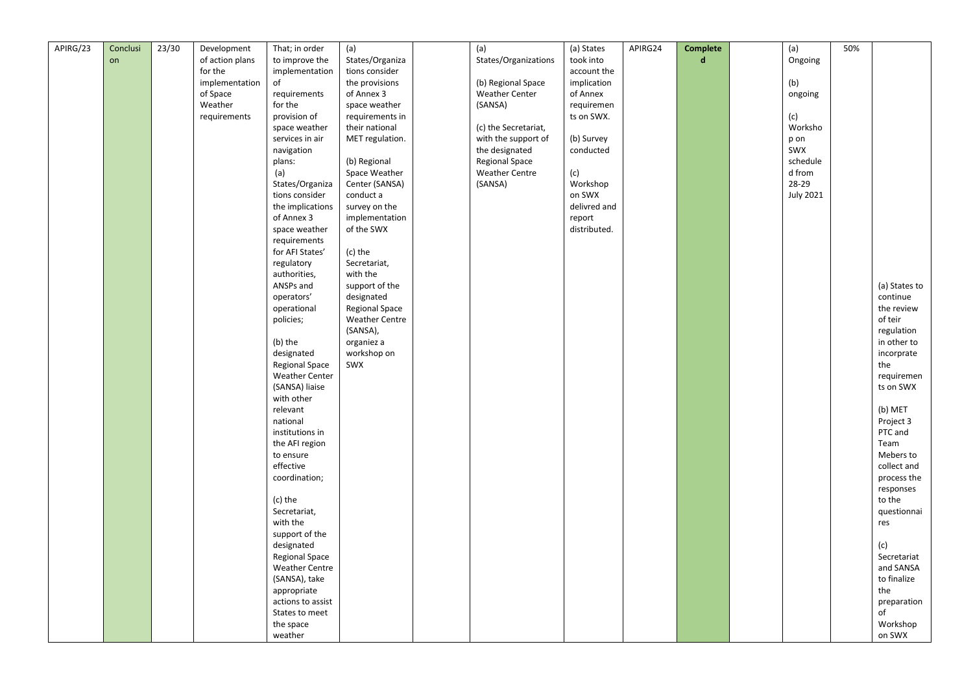| APIRG/23 | Conclusi | 23/30 | Development     | That; in order        | (a)                   | (a)                   | (a) States   | APIRG24 | Complete    | (a)                              | 50% |               |
|----------|----------|-------|-----------------|-----------------------|-----------------------|-----------------------|--------------|---------|-------------|----------------------------------|-----|---------------|
|          | on       |       | of action plans | to improve the        | States/Organiza       | States/Organizations  | took into    |         | $\mathbf d$ | Ongoing                          |     |               |
|          |          |       | for the         | implementation        | tions consider        |                       | account the  |         |             |                                  |     |               |
|          |          |       | implementation  | of                    | the provisions        | (b) Regional Space    | implication  |         |             | (b)                              |     |               |
|          |          |       | of Space        | requirements          | of Annex 3            | <b>Weather Center</b> | of Annex     |         |             | ongoing                          |     |               |
|          |          |       | Weather         | for the               |                       |                       |              |         |             |                                  |     |               |
|          |          |       |                 |                       | space weather         | (SANSA)               | requiremen   |         |             |                                  |     |               |
|          |          |       | requirements    | provision of          | requirements in       |                       | ts on SWX.   |         |             | (c)<br>Worksho                   |     |               |
|          |          |       |                 | space weather         | their national        | (c) the Secretariat,  |              |         |             |                                  |     |               |
|          |          |       |                 | services in air       | MET regulation.       | with the support of   | (b) Survey   |         |             | p on                             |     |               |
|          |          |       |                 | navigation            |                       | the designated        | conducted    |         |             | SWX                              |     |               |
|          |          |       |                 | plans:                | (b) Regional          | <b>Regional Space</b> |              |         |             | schedule                         |     |               |
|          |          |       |                 | (a)                   | Space Weather         | <b>Weather Centre</b> | (c)          |         |             | $\operatorname{\mathsf{d}}$ from |     |               |
|          |          |       |                 | States/Organiza       | Center (SANSA)        | (SANSA)               | Workshop     |         |             | 28-29                            |     |               |
|          |          |       |                 | tions consider        | conduct a             |                       | on SWX       |         |             | <b>July 2021</b>                 |     |               |
|          |          |       |                 | the implications      | survey on the         |                       | delivred and |         |             |                                  |     |               |
|          |          |       |                 | of Annex 3            | implementation        |                       | report       |         |             |                                  |     |               |
|          |          |       |                 | space weather         | of the SWX            |                       | distributed. |         |             |                                  |     |               |
|          |          |       |                 | requirements          |                       |                       |              |         |             |                                  |     |               |
|          |          |       |                 | for AFI States'       | (c) the               |                       |              |         |             |                                  |     |               |
|          |          |       |                 | regulatory            | Secretariat,          |                       |              |         |             |                                  |     |               |
|          |          |       |                 | authorities,          | with the              |                       |              |         |             |                                  |     |               |
|          |          |       |                 | ANSPs and             | support of the        |                       |              |         |             |                                  |     | (a) States to |
|          |          |       |                 | operators'            | designated            |                       |              |         |             |                                  |     | continue      |
|          |          |       |                 | operational           | Regional Space        |                       |              |         |             |                                  |     | the review    |
|          |          |       |                 |                       |                       |                       |              |         |             |                                  |     | of teir       |
|          |          |       |                 | policies;             | <b>Weather Centre</b> |                       |              |         |             |                                  |     |               |
|          |          |       |                 |                       | (SANSA),              |                       |              |         |             |                                  |     | regulation    |
|          |          |       |                 | (b) the               | organiez a            |                       |              |         |             |                                  |     | in other to   |
|          |          |       |                 | designated            | workshop on           |                       |              |         |             |                                  |     | incorprate    |
|          |          |       |                 | <b>Regional Space</b> | SWX                   |                       |              |         |             |                                  |     | the           |
|          |          |       |                 | <b>Weather Center</b> |                       |                       |              |         |             |                                  |     | requiremen    |
|          |          |       |                 | (SANSA) liaise        |                       |                       |              |         |             |                                  |     | ts on SWX     |
|          |          |       |                 | with other            |                       |                       |              |         |             |                                  |     |               |
|          |          |       |                 | relevant              |                       |                       |              |         |             |                                  |     | (b) MET       |
|          |          |       |                 | national              |                       |                       |              |         |             |                                  |     | Project 3     |
|          |          |       |                 | institutions in       |                       |                       |              |         |             |                                  |     | PTC and       |
|          |          |       |                 | the AFI region        |                       |                       |              |         |             |                                  |     | Team          |
|          |          |       |                 | to ensure             |                       |                       |              |         |             |                                  |     | Mebers to     |
|          |          |       |                 | effective             |                       |                       |              |         |             |                                  |     | collect and   |
|          |          |       |                 | coordination;         |                       |                       |              |         |             |                                  |     | process the   |
|          |          |       |                 |                       |                       |                       |              |         |             |                                  |     | responses     |
|          |          |       |                 | (c) the               |                       |                       |              |         |             |                                  |     | to the        |
|          |          |       |                 | Secretariat,          |                       |                       |              |         |             |                                  |     | questionnai   |
|          |          |       |                 | with the              |                       |                       |              |         |             |                                  |     | res           |
|          |          |       |                 | support of the        |                       |                       |              |         |             |                                  |     |               |
|          |          |       |                 | designated            |                       |                       |              |         |             |                                  |     | (c)           |
|          |          |       |                 | <b>Regional Space</b> |                       |                       |              |         |             |                                  |     | Secretariat   |
|          |          |       |                 | <b>Weather Centre</b> |                       |                       |              |         |             |                                  |     | and SANSA     |
|          |          |       |                 |                       |                       |                       |              |         |             |                                  |     |               |
|          |          |       |                 | (SANSA), take         |                       |                       |              |         |             |                                  |     | to finalize   |
|          |          |       |                 | appropriate           |                       |                       |              |         |             |                                  |     | the           |
|          |          |       |                 | actions to assist     |                       |                       |              |         |             |                                  |     | preparation   |
|          |          |       |                 | States to meet        |                       |                       |              |         |             |                                  |     | of            |
|          |          |       |                 | the space             |                       |                       |              |         |             |                                  |     | Workshop      |
|          |          |       |                 | weather               |                       |                       |              |         |             |                                  |     | on SWX        |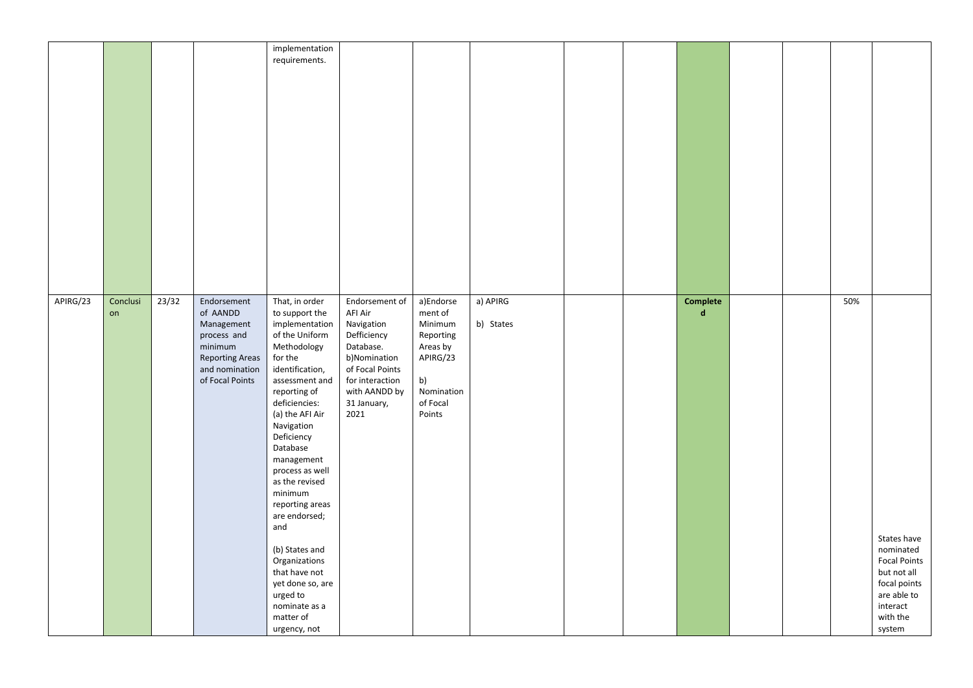|          |                |       |                                                                                                                                | implementation<br>requirements.                                                                                                                                                                                                                                                                                                                                                                                                                                            |                                                                                                                                                                   |                                                                                                                |                       |  |                         |  |     |                                                                                                                                 |
|----------|----------------|-------|--------------------------------------------------------------------------------------------------------------------------------|----------------------------------------------------------------------------------------------------------------------------------------------------------------------------------------------------------------------------------------------------------------------------------------------------------------------------------------------------------------------------------------------------------------------------------------------------------------------------|-------------------------------------------------------------------------------------------------------------------------------------------------------------------|----------------------------------------------------------------------------------------------------------------|-----------------------|--|-------------------------|--|-----|---------------------------------------------------------------------------------------------------------------------------------|
| APIRG/23 | Conclusi<br>on | 23/32 | Endorsement<br>of AANDD<br>Management<br>process and<br>minimum<br><b>Reporting Areas</b><br>and nomination<br>of Focal Points | That, in order<br>to support the<br>implementation<br>of the Uniform<br>Methodology<br>for the<br>identification,<br>assessment and<br>reporting of<br>deficiencies:<br>(a) the AFI Air<br>Navigation<br>Deficiency<br>Database<br>management<br>process as well<br>as the revised<br>minimum<br>reporting areas<br>are endorsed;<br>and<br>(b) States and<br>Organizations<br>that have not<br>yet done so, are<br>urged to<br>nominate as a<br>matter of<br>urgency, not | Endorsement of<br>AFI Air<br>Navigation<br>Defficiency<br>Database.<br>b)Nomination<br>of Focal Points<br>for interaction<br>with AANDD by<br>31 January,<br>2021 | a)Endorse<br>ment of<br>Minimum<br>Reporting<br>Areas by<br>APIRG/23<br>b)<br>Nomination<br>of Focal<br>Points | a) APIRG<br>b) States |  | Complete<br>$\mathbf d$ |  | 50% | States have<br>nominated<br><b>Focal Points</b><br>but not all<br>focal points<br>are able to<br>interact<br>with the<br>system |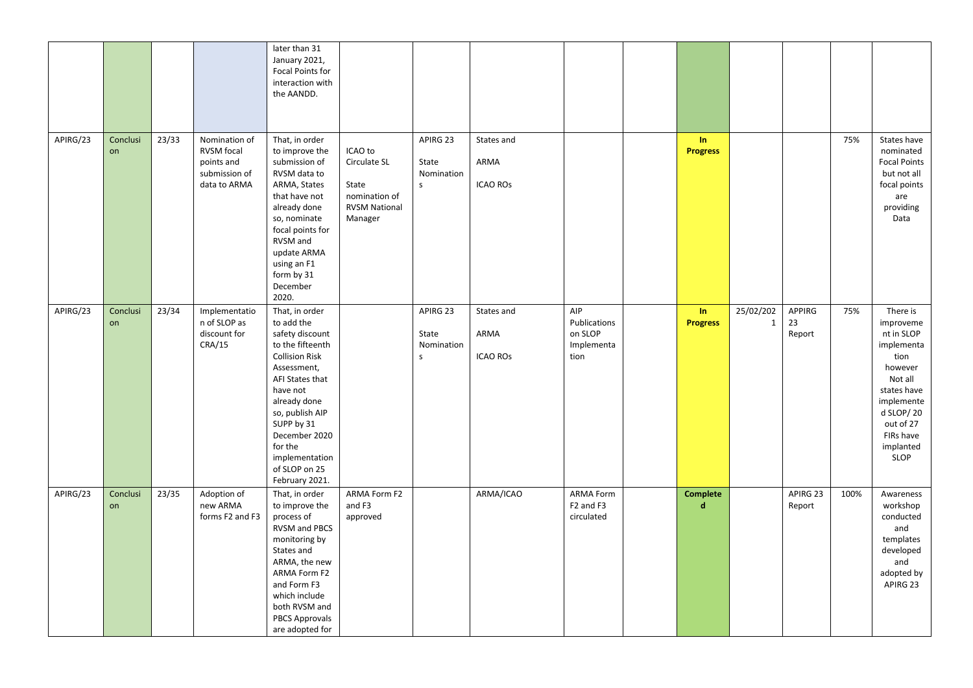|          |                |       |                                                                                   | later than 31<br>January 2021,<br>Focal Points for<br>interaction with<br>the AANDD.                                                                                                                                                                                         |                                                                                      |                                                |                                       |                                                                     |                       |                           |                        |      |                                                                                                                                                                          |
|----------|----------------|-------|-----------------------------------------------------------------------------------|------------------------------------------------------------------------------------------------------------------------------------------------------------------------------------------------------------------------------------------------------------------------------|--------------------------------------------------------------------------------------|------------------------------------------------|---------------------------------------|---------------------------------------------------------------------|-----------------------|---------------------------|------------------------|------|--------------------------------------------------------------------------------------------------------------------------------------------------------------------------|
| APIRG/23 | Conclusi<br>on | 23/33 | Nomination of<br><b>RVSM</b> focal<br>points and<br>submission of<br>data to ARMA | That, in order<br>to improve the<br>submission of<br>RVSM data to<br>ARMA, States<br>that have not<br>already done<br>so, nominate<br>focal points for<br>RVSM and<br>update ARMA<br>using an F1<br>form by 31<br>December<br>2020.                                          | ICAO to<br>Circulate SL<br>State<br>nomination of<br><b>RVSM National</b><br>Manager | APIRG 23<br>State<br>Nomination<br>$\mathsf S$ | States and<br>ARMA<br><b>ICAO ROS</b> |                                                                     | In<br><b>Progress</b> |                           |                        | 75%  | States have<br>nominated<br><b>Focal Points</b><br>but not all<br>focal points<br>are<br>providing<br>Data                                                               |
| APIRG/23 | Conclusi<br>on | 23/34 | Implementatio<br>n of SLOP as<br>discount for<br>CRA/15                           | That, in order<br>to add the<br>safety discount<br>to the fifteenth<br><b>Collision Risk</b><br>Assessment,<br>AFI States that<br>have not<br>already done<br>so, publish AIP<br>SUPP by 31<br>December 2020<br>for the<br>implementation<br>of SLOP on 25<br>February 2021. |                                                                                      | APIRG 23<br>State<br>Nomination<br>$\mathsf S$ | States and<br>ARMA<br><b>ICAO ROS</b> | AIP<br>Publications<br>on SLOP<br>Implementa<br>tion                | In<br><b>Progress</b> | 25/02/202<br>$\mathbf{1}$ | APPIRG<br>23<br>Report | 75%  | There is<br>improveme<br>nt in SLOP<br>implementa<br>tion<br>however<br>Not all<br>states have<br>implemente<br>d SLOP/20<br>out of 27<br>FIRs have<br>implanted<br>SLOP |
| APIRG/23 | Conclusi<br>on | 23/35 | Adoption of<br>new ARMA<br>forms F2 and F3                                        | That, in order<br>to improve the<br>process of<br>RVSM and PBCS<br>monitoring by<br>States and<br>ARMA, the new<br>ARMA Form F2<br>and Form F3<br>which include<br>both RVSM and<br><b>PBCS Approvals</b><br>are adopted for                                                 | ARMA Form F2<br>and F3<br>approved                                                   |                                                | ARMA/ICAO                             | <b>ARMA Form</b><br>F <sub>2</sub> and F <sub>3</sub><br>circulated | <b>Complete</b><br>d. |                           | APIRG 23<br>Report     | 100% | Awareness<br>workshop<br>conducted<br>and<br>templates<br>developed<br>and<br>adopted by<br>APIRG 23                                                                     |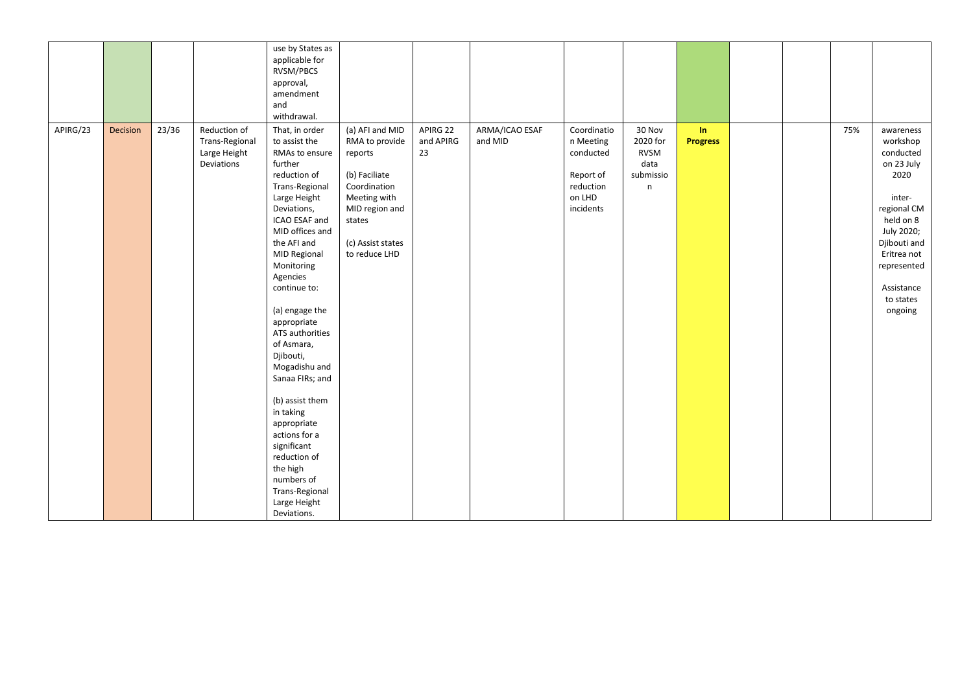|          |          |       |                                                              | use by States as<br>applicable for<br>RVSM/PBCS<br>approval,<br>amendment<br>and<br>withdrawal.                                                                                                                                                                                                                                                                                                                                                                                                                                         |                                                                                                                                                                 |                             |                           |                                                                                        |                                                                       |                       |  |     |                                                                                                                                                                                                  |
|----------|----------|-------|--------------------------------------------------------------|-----------------------------------------------------------------------------------------------------------------------------------------------------------------------------------------------------------------------------------------------------------------------------------------------------------------------------------------------------------------------------------------------------------------------------------------------------------------------------------------------------------------------------------------|-----------------------------------------------------------------------------------------------------------------------------------------------------------------|-----------------------------|---------------------------|----------------------------------------------------------------------------------------|-----------------------------------------------------------------------|-----------------------|--|-----|--------------------------------------------------------------------------------------------------------------------------------------------------------------------------------------------------|
| APIRG/23 | Decision | 23/36 | Reduction of<br>Trans-Regional<br>Large Height<br>Deviations | That, in order<br>to assist the<br>RMAs to ensure<br>further<br>reduction of<br>Trans-Regional<br>Large Height<br>Deviations,<br>ICAO ESAF and<br>MID offices and<br>the AFI and<br>MID Regional<br>Monitoring<br>Agencies<br>continue to:<br>(a) engage the<br>appropriate<br>ATS authorities<br>of Asmara,<br>Djibouti,<br>Mogadishu and<br>Sanaa FIRs; and<br>(b) assist them<br>in taking<br>appropriate<br>actions for a<br>significant<br>reduction of<br>the high<br>numbers of<br>Trans-Regional<br>Large Height<br>Deviations. | (a) AFI and MID<br>RMA to provide<br>reports<br>(b) Faciliate<br>Coordination<br>Meeting with<br>MID region and<br>states<br>(c) Assist states<br>to reduce LHD | APIRG 22<br>and APIRG<br>23 | ARMA/ICAO ESAF<br>and MID | Coordinatio<br>n Meeting<br>conducted<br>Report of<br>reduction<br>on LHD<br>incidents | 30 Nov<br>2020 for<br><b>RVSM</b><br>data<br>submissio<br>$\mathsf n$ | In<br><b>Progress</b> |  | 75% | awareness<br>workshop<br>conducted<br>on 23 July<br>2020<br>inter-<br>regional CM<br>held on 8<br>July 2020;<br>Djibouti and<br>Eritrea not<br>represented<br>Assistance<br>to states<br>ongoing |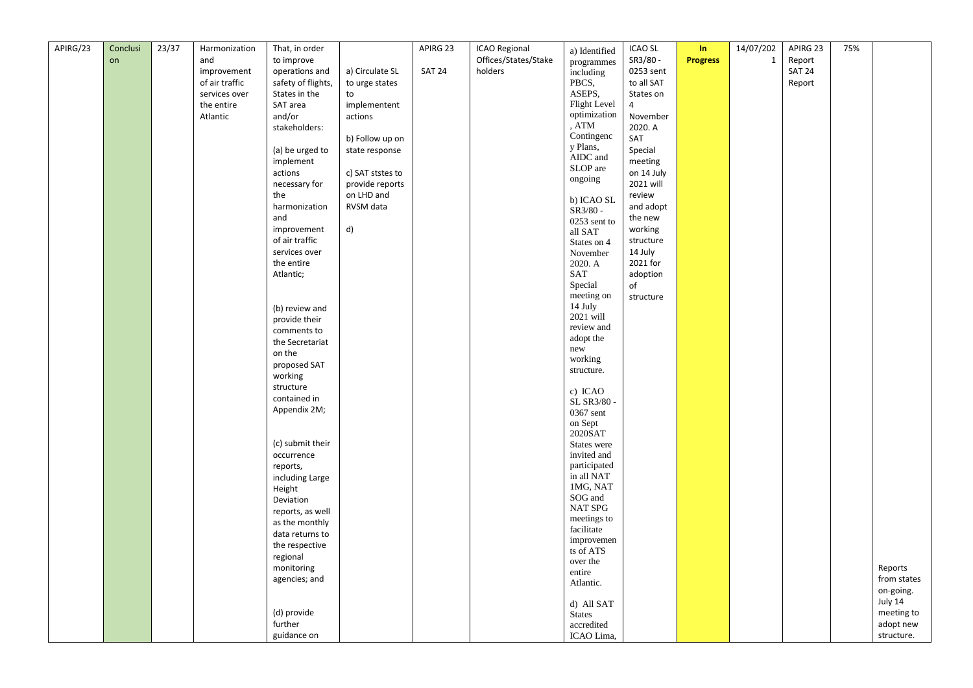| and<br>to improve<br>Offices/States/Stake<br>SR3/80-<br><b>Progress</b><br>$\mathbf 1$<br>Report<br>on<br>programmes<br><b>SAT 24</b><br>operations and<br>a) Circulate SL<br><b>SAT 24</b><br>holders<br>0253 sent<br>improvement<br>including<br>PBCS,<br>of air traffic<br>safety of flights,<br>to urge states<br>to all SAT<br>Report<br>ASEPS,<br>services over<br>States in the<br>to<br>States on<br>Flight Level<br>the entire<br>SAT area<br>implementent<br>$\overline{4}$<br>optimization<br>and/or<br>November<br>Atlantic<br>actions<br>, ATM<br>2020. A<br>stakeholders:<br>Contingenc<br>SAT<br>b) Follow up on<br>y Plans,<br>Special<br>(a) be urged to<br>state response<br>AIDC and<br>implement<br>meeting<br>SLOP are<br>actions<br>c) SAT ststes to<br>on 14 July<br>ongoing<br>2021 will<br>necessary for<br>provide reports<br>on LHD and<br>the<br>review<br>b) ICAO SL<br>RVSM data<br>and adopt<br>harmonization<br>SR3/80 -<br>and<br>the new<br>0253 sent to<br>d)<br>improvement<br>working<br>all SAT<br>of air traffic<br>structure<br>States on 4<br>services over<br>14 July<br>November<br>the entire<br>2020. A<br>2021 for<br><b>SAT</b><br>Atlantic;<br>adoption<br>Special<br>of<br>meeting on<br>structure<br>14 July<br>(b) review and<br>2021 will<br>provide their<br>review and<br>comments to<br>adopt the<br>the Secretariat<br>new<br>on the<br>working<br>proposed SAT<br>structure.<br>working<br>structure<br>c) ICAO<br>contained in<br>SL SR3/80 -<br>Appendix 2M;<br>0367 sent<br>on Sept<br>2020SAT<br>(c) submit their<br>States were<br>occurrence<br>invited and<br>participated<br>reports,<br>in all NAT<br>including Large<br>1MG, NAT<br>Height<br>SOG and<br>Deviation<br>NAT SPG<br>reports, as well<br>meetings to<br>as the monthly<br>facilitate<br>data returns to<br>improvemen<br>the respective<br>ts of ATS<br>regional<br>over the<br>Reports<br>monitoring<br>entire<br>from states<br>agencies; and<br>Atlantic.<br>on-going.<br>July 14<br>d) All SAT<br>(d) provide<br>meeting to<br><b>States</b><br>further<br>adopt new<br>accredited | APIRG/23 | Conclusi | 23/37 | Harmonization | That, in order | APIRG 23 | ICAO Regional | a) Identified | <b>ICAO SL</b> | In. | 14/07/202 | APIRG 23 | 75% |            |
|-----------------------------------------------------------------------------------------------------------------------------------------------------------------------------------------------------------------------------------------------------------------------------------------------------------------------------------------------------------------------------------------------------------------------------------------------------------------------------------------------------------------------------------------------------------------------------------------------------------------------------------------------------------------------------------------------------------------------------------------------------------------------------------------------------------------------------------------------------------------------------------------------------------------------------------------------------------------------------------------------------------------------------------------------------------------------------------------------------------------------------------------------------------------------------------------------------------------------------------------------------------------------------------------------------------------------------------------------------------------------------------------------------------------------------------------------------------------------------------------------------------------------------------------------------------------------------------------------------------------------------------------------------------------------------------------------------------------------------------------------------------------------------------------------------------------------------------------------------------------------------------------------------------------------------------------------------------------------------------------------------------------------------------------------------------------------------------------------------------------------|----------|----------|-------|---------------|----------------|----------|---------------|---------------|----------------|-----|-----------|----------|-----|------------|
|                                                                                                                                                                                                                                                                                                                                                                                                                                                                                                                                                                                                                                                                                                                                                                                                                                                                                                                                                                                                                                                                                                                                                                                                                                                                                                                                                                                                                                                                                                                                                                                                                                                                                                                                                                                                                                                                                                                                                                                                                                                                                                                       |          |          |       |               |                |          |               |               |                |     |           |          |     |            |
|                                                                                                                                                                                                                                                                                                                                                                                                                                                                                                                                                                                                                                                                                                                                                                                                                                                                                                                                                                                                                                                                                                                                                                                                                                                                                                                                                                                                                                                                                                                                                                                                                                                                                                                                                                                                                                                                                                                                                                                                                                                                                                                       |          |          |       |               |                |          |               |               |                |     |           |          |     |            |
|                                                                                                                                                                                                                                                                                                                                                                                                                                                                                                                                                                                                                                                                                                                                                                                                                                                                                                                                                                                                                                                                                                                                                                                                                                                                                                                                                                                                                                                                                                                                                                                                                                                                                                                                                                                                                                                                                                                                                                                                                                                                                                                       |          |          |       |               |                |          |               |               |                |     |           |          |     |            |
|                                                                                                                                                                                                                                                                                                                                                                                                                                                                                                                                                                                                                                                                                                                                                                                                                                                                                                                                                                                                                                                                                                                                                                                                                                                                                                                                                                                                                                                                                                                                                                                                                                                                                                                                                                                                                                                                                                                                                                                                                                                                                                                       |          |          |       |               |                |          |               |               |                |     |           |          |     |            |
|                                                                                                                                                                                                                                                                                                                                                                                                                                                                                                                                                                                                                                                                                                                                                                                                                                                                                                                                                                                                                                                                                                                                                                                                                                                                                                                                                                                                                                                                                                                                                                                                                                                                                                                                                                                                                                                                                                                                                                                                                                                                                                                       |          |          |       |               |                |          |               |               |                |     |           |          |     |            |
|                                                                                                                                                                                                                                                                                                                                                                                                                                                                                                                                                                                                                                                                                                                                                                                                                                                                                                                                                                                                                                                                                                                                                                                                                                                                                                                                                                                                                                                                                                                                                                                                                                                                                                                                                                                                                                                                                                                                                                                                                                                                                                                       |          |          |       |               |                |          |               |               |                |     |           |          |     |            |
|                                                                                                                                                                                                                                                                                                                                                                                                                                                                                                                                                                                                                                                                                                                                                                                                                                                                                                                                                                                                                                                                                                                                                                                                                                                                                                                                                                                                                                                                                                                                                                                                                                                                                                                                                                                                                                                                                                                                                                                                                                                                                                                       |          |          |       |               |                |          |               |               |                |     |           |          |     |            |
|                                                                                                                                                                                                                                                                                                                                                                                                                                                                                                                                                                                                                                                                                                                                                                                                                                                                                                                                                                                                                                                                                                                                                                                                                                                                                                                                                                                                                                                                                                                                                                                                                                                                                                                                                                                                                                                                                                                                                                                                                                                                                                                       |          |          |       |               |                |          |               |               |                |     |           |          |     |            |
|                                                                                                                                                                                                                                                                                                                                                                                                                                                                                                                                                                                                                                                                                                                                                                                                                                                                                                                                                                                                                                                                                                                                                                                                                                                                                                                                                                                                                                                                                                                                                                                                                                                                                                                                                                                                                                                                                                                                                                                                                                                                                                                       |          |          |       |               |                |          |               |               |                |     |           |          |     |            |
|                                                                                                                                                                                                                                                                                                                                                                                                                                                                                                                                                                                                                                                                                                                                                                                                                                                                                                                                                                                                                                                                                                                                                                                                                                                                                                                                                                                                                                                                                                                                                                                                                                                                                                                                                                                                                                                                                                                                                                                                                                                                                                                       |          |          |       |               |                |          |               |               |                |     |           |          |     |            |
|                                                                                                                                                                                                                                                                                                                                                                                                                                                                                                                                                                                                                                                                                                                                                                                                                                                                                                                                                                                                                                                                                                                                                                                                                                                                                                                                                                                                                                                                                                                                                                                                                                                                                                                                                                                                                                                                                                                                                                                                                                                                                                                       |          |          |       |               |                |          |               |               |                |     |           |          |     |            |
|                                                                                                                                                                                                                                                                                                                                                                                                                                                                                                                                                                                                                                                                                                                                                                                                                                                                                                                                                                                                                                                                                                                                                                                                                                                                                                                                                                                                                                                                                                                                                                                                                                                                                                                                                                                                                                                                                                                                                                                                                                                                                                                       |          |          |       |               |                |          |               |               |                |     |           |          |     |            |
|                                                                                                                                                                                                                                                                                                                                                                                                                                                                                                                                                                                                                                                                                                                                                                                                                                                                                                                                                                                                                                                                                                                                                                                                                                                                                                                                                                                                                                                                                                                                                                                                                                                                                                                                                                                                                                                                                                                                                                                                                                                                                                                       |          |          |       |               |                |          |               |               |                |     |           |          |     |            |
|                                                                                                                                                                                                                                                                                                                                                                                                                                                                                                                                                                                                                                                                                                                                                                                                                                                                                                                                                                                                                                                                                                                                                                                                                                                                                                                                                                                                                                                                                                                                                                                                                                                                                                                                                                                                                                                                                                                                                                                                                                                                                                                       |          |          |       |               |                |          |               |               |                |     |           |          |     |            |
|                                                                                                                                                                                                                                                                                                                                                                                                                                                                                                                                                                                                                                                                                                                                                                                                                                                                                                                                                                                                                                                                                                                                                                                                                                                                                                                                                                                                                                                                                                                                                                                                                                                                                                                                                                                                                                                                                                                                                                                                                                                                                                                       |          |          |       |               |                |          |               |               |                |     |           |          |     |            |
|                                                                                                                                                                                                                                                                                                                                                                                                                                                                                                                                                                                                                                                                                                                                                                                                                                                                                                                                                                                                                                                                                                                                                                                                                                                                                                                                                                                                                                                                                                                                                                                                                                                                                                                                                                                                                                                                                                                                                                                                                                                                                                                       |          |          |       |               |                |          |               |               |                |     |           |          |     |            |
|                                                                                                                                                                                                                                                                                                                                                                                                                                                                                                                                                                                                                                                                                                                                                                                                                                                                                                                                                                                                                                                                                                                                                                                                                                                                                                                                                                                                                                                                                                                                                                                                                                                                                                                                                                                                                                                                                                                                                                                                                                                                                                                       |          |          |       |               |                |          |               |               |                |     |           |          |     |            |
|                                                                                                                                                                                                                                                                                                                                                                                                                                                                                                                                                                                                                                                                                                                                                                                                                                                                                                                                                                                                                                                                                                                                                                                                                                                                                                                                                                                                                                                                                                                                                                                                                                                                                                                                                                                                                                                                                                                                                                                                                                                                                                                       |          |          |       |               |                |          |               |               |                |     |           |          |     |            |
|                                                                                                                                                                                                                                                                                                                                                                                                                                                                                                                                                                                                                                                                                                                                                                                                                                                                                                                                                                                                                                                                                                                                                                                                                                                                                                                                                                                                                                                                                                                                                                                                                                                                                                                                                                                                                                                                                                                                                                                                                                                                                                                       |          |          |       |               |                |          |               |               |                |     |           |          |     |            |
|                                                                                                                                                                                                                                                                                                                                                                                                                                                                                                                                                                                                                                                                                                                                                                                                                                                                                                                                                                                                                                                                                                                                                                                                                                                                                                                                                                                                                                                                                                                                                                                                                                                                                                                                                                                                                                                                                                                                                                                                                                                                                                                       |          |          |       |               |                |          |               |               |                |     |           |          |     |            |
|                                                                                                                                                                                                                                                                                                                                                                                                                                                                                                                                                                                                                                                                                                                                                                                                                                                                                                                                                                                                                                                                                                                                                                                                                                                                                                                                                                                                                                                                                                                                                                                                                                                                                                                                                                                                                                                                                                                                                                                                                                                                                                                       |          |          |       |               |                |          |               |               |                |     |           |          |     |            |
|                                                                                                                                                                                                                                                                                                                                                                                                                                                                                                                                                                                                                                                                                                                                                                                                                                                                                                                                                                                                                                                                                                                                                                                                                                                                                                                                                                                                                                                                                                                                                                                                                                                                                                                                                                                                                                                                                                                                                                                                                                                                                                                       |          |          |       |               |                |          |               |               |                |     |           |          |     |            |
|                                                                                                                                                                                                                                                                                                                                                                                                                                                                                                                                                                                                                                                                                                                                                                                                                                                                                                                                                                                                                                                                                                                                                                                                                                                                                                                                                                                                                                                                                                                                                                                                                                                                                                                                                                                                                                                                                                                                                                                                                                                                                                                       |          |          |       |               |                |          |               |               |                |     |           |          |     |            |
|                                                                                                                                                                                                                                                                                                                                                                                                                                                                                                                                                                                                                                                                                                                                                                                                                                                                                                                                                                                                                                                                                                                                                                                                                                                                                                                                                                                                                                                                                                                                                                                                                                                                                                                                                                                                                                                                                                                                                                                                                                                                                                                       |          |          |       |               |                |          |               |               |                |     |           |          |     |            |
|                                                                                                                                                                                                                                                                                                                                                                                                                                                                                                                                                                                                                                                                                                                                                                                                                                                                                                                                                                                                                                                                                                                                                                                                                                                                                                                                                                                                                                                                                                                                                                                                                                                                                                                                                                                                                                                                                                                                                                                                                                                                                                                       |          |          |       |               |                |          |               |               |                |     |           |          |     |            |
|                                                                                                                                                                                                                                                                                                                                                                                                                                                                                                                                                                                                                                                                                                                                                                                                                                                                                                                                                                                                                                                                                                                                                                                                                                                                                                                                                                                                                                                                                                                                                                                                                                                                                                                                                                                                                                                                                                                                                                                                                                                                                                                       |          |          |       |               |                |          |               |               |                |     |           |          |     |            |
|                                                                                                                                                                                                                                                                                                                                                                                                                                                                                                                                                                                                                                                                                                                                                                                                                                                                                                                                                                                                                                                                                                                                                                                                                                                                                                                                                                                                                                                                                                                                                                                                                                                                                                                                                                                                                                                                                                                                                                                                                                                                                                                       |          |          |       |               |                |          |               |               |                |     |           |          |     |            |
|                                                                                                                                                                                                                                                                                                                                                                                                                                                                                                                                                                                                                                                                                                                                                                                                                                                                                                                                                                                                                                                                                                                                                                                                                                                                                                                                                                                                                                                                                                                                                                                                                                                                                                                                                                                                                                                                                                                                                                                                                                                                                                                       |          |          |       |               |                |          |               |               |                |     |           |          |     |            |
|                                                                                                                                                                                                                                                                                                                                                                                                                                                                                                                                                                                                                                                                                                                                                                                                                                                                                                                                                                                                                                                                                                                                                                                                                                                                                                                                                                                                                                                                                                                                                                                                                                                                                                                                                                                                                                                                                                                                                                                                                                                                                                                       |          |          |       |               |                |          |               |               |                |     |           |          |     |            |
|                                                                                                                                                                                                                                                                                                                                                                                                                                                                                                                                                                                                                                                                                                                                                                                                                                                                                                                                                                                                                                                                                                                                                                                                                                                                                                                                                                                                                                                                                                                                                                                                                                                                                                                                                                                                                                                                                                                                                                                                                                                                                                                       |          |          |       |               |                |          |               |               |                |     |           |          |     |            |
|                                                                                                                                                                                                                                                                                                                                                                                                                                                                                                                                                                                                                                                                                                                                                                                                                                                                                                                                                                                                                                                                                                                                                                                                                                                                                                                                                                                                                                                                                                                                                                                                                                                                                                                                                                                                                                                                                                                                                                                                                                                                                                                       |          |          |       |               |                |          |               |               |                |     |           |          |     |            |
|                                                                                                                                                                                                                                                                                                                                                                                                                                                                                                                                                                                                                                                                                                                                                                                                                                                                                                                                                                                                                                                                                                                                                                                                                                                                                                                                                                                                                                                                                                                                                                                                                                                                                                                                                                                                                                                                                                                                                                                                                                                                                                                       |          |          |       |               |                |          |               |               |                |     |           |          |     |            |
|                                                                                                                                                                                                                                                                                                                                                                                                                                                                                                                                                                                                                                                                                                                                                                                                                                                                                                                                                                                                                                                                                                                                                                                                                                                                                                                                                                                                                                                                                                                                                                                                                                                                                                                                                                                                                                                                                                                                                                                                                                                                                                                       |          |          |       |               |                |          |               |               |                |     |           |          |     |            |
|                                                                                                                                                                                                                                                                                                                                                                                                                                                                                                                                                                                                                                                                                                                                                                                                                                                                                                                                                                                                                                                                                                                                                                                                                                                                                                                                                                                                                                                                                                                                                                                                                                                                                                                                                                                                                                                                                                                                                                                                                                                                                                                       |          |          |       |               |                |          |               |               |                |     |           |          |     |            |
|                                                                                                                                                                                                                                                                                                                                                                                                                                                                                                                                                                                                                                                                                                                                                                                                                                                                                                                                                                                                                                                                                                                                                                                                                                                                                                                                                                                                                                                                                                                                                                                                                                                                                                                                                                                                                                                                                                                                                                                                                                                                                                                       |          |          |       |               |                |          |               |               |                |     |           |          |     |            |
|                                                                                                                                                                                                                                                                                                                                                                                                                                                                                                                                                                                                                                                                                                                                                                                                                                                                                                                                                                                                                                                                                                                                                                                                                                                                                                                                                                                                                                                                                                                                                                                                                                                                                                                                                                                                                                                                                                                                                                                                                                                                                                                       |          |          |       |               |                |          |               |               |                |     |           |          |     |            |
|                                                                                                                                                                                                                                                                                                                                                                                                                                                                                                                                                                                                                                                                                                                                                                                                                                                                                                                                                                                                                                                                                                                                                                                                                                                                                                                                                                                                                                                                                                                                                                                                                                                                                                                                                                                                                                                                                                                                                                                                                                                                                                                       |          |          |       |               |                |          |               |               |                |     |           |          |     |            |
|                                                                                                                                                                                                                                                                                                                                                                                                                                                                                                                                                                                                                                                                                                                                                                                                                                                                                                                                                                                                                                                                                                                                                                                                                                                                                                                                                                                                                                                                                                                                                                                                                                                                                                                                                                                                                                                                                                                                                                                                                                                                                                                       |          |          |       |               |                |          |               |               |                |     |           |          |     |            |
|                                                                                                                                                                                                                                                                                                                                                                                                                                                                                                                                                                                                                                                                                                                                                                                                                                                                                                                                                                                                                                                                                                                                                                                                                                                                                                                                                                                                                                                                                                                                                                                                                                                                                                                                                                                                                                                                                                                                                                                                                                                                                                                       |          |          |       |               |                |          |               |               |                |     |           |          |     |            |
|                                                                                                                                                                                                                                                                                                                                                                                                                                                                                                                                                                                                                                                                                                                                                                                                                                                                                                                                                                                                                                                                                                                                                                                                                                                                                                                                                                                                                                                                                                                                                                                                                                                                                                                                                                                                                                                                                                                                                                                                                                                                                                                       |          |          |       |               |                |          |               |               |                |     |           |          |     |            |
|                                                                                                                                                                                                                                                                                                                                                                                                                                                                                                                                                                                                                                                                                                                                                                                                                                                                                                                                                                                                                                                                                                                                                                                                                                                                                                                                                                                                                                                                                                                                                                                                                                                                                                                                                                                                                                                                                                                                                                                                                                                                                                                       |          |          |       |               |                |          |               |               |                |     |           |          |     |            |
|                                                                                                                                                                                                                                                                                                                                                                                                                                                                                                                                                                                                                                                                                                                                                                                                                                                                                                                                                                                                                                                                                                                                                                                                                                                                                                                                                                                                                                                                                                                                                                                                                                                                                                                                                                                                                                                                                                                                                                                                                                                                                                                       |          |          |       |               |                |          |               |               |                |     |           |          |     |            |
|                                                                                                                                                                                                                                                                                                                                                                                                                                                                                                                                                                                                                                                                                                                                                                                                                                                                                                                                                                                                                                                                                                                                                                                                                                                                                                                                                                                                                                                                                                                                                                                                                                                                                                                                                                                                                                                                                                                                                                                                                                                                                                                       |          |          |       |               |                |          |               |               |                |     |           |          |     |            |
|                                                                                                                                                                                                                                                                                                                                                                                                                                                                                                                                                                                                                                                                                                                                                                                                                                                                                                                                                                                                                                                                                                                                                                                                                                                                                                                                                                                                                                                                                                                                                                                                                                                                                                                                                                                                                                                                                                                                                                                                                                                                                                                       |          |          |       |               |                |          |               |               |                |     |           |          |     |            |
|                                                                                                                                                                                                                                                                                                                                                                                                                                                                                                                                                                                                                                                                                                                                                                                                                                                                                                                                                                                                                                                                                                                                                                                                                                                                                                                                                                                                                                                                                                                                                                                                                                                                                                                                                                                                                                                                                                                                                                                                                                                                                                                       |          |          |       |               |                |          |               |               |                |     |           |          |     |            |
|                                                                                                                                                                                                                                                                                                                                                                                                                                                                                                                                                                                                                                                                                                                                                                                                                                                                                                                                                                                                                                                                                                                                                                                                                                                                                                                                                                                                                                                                                                                                                                                                                                                                                                                                                                                                                                                                                                                                                                                                                                                                                                                       |          |          |       |               |                |          |               |               |                |     |           |          |     |            |
|                                                                                                                                                                                                                                                                                                                                                                                                                                                                                                                                                                                                                                                                                                                                                                                                                                                                                                                                                                                                                                                                                                                                                                                                                                                                                                                                                                                                                                                                                                                                                                                                                                                                                                                                                                                                                                                                                                                                                                                                                                                                                                                       |          |          |       |               |                |          |               |               |                |     |           |          |     |            |
|                                                                                                                                                                                                                                                                                                                                                                                                                                                                                                                                                                                                                                                                                                                                                                                                                                                                                                                                                                                                                                                                                                                                                                                                                                                                                                                                                                                                                                                                                                                                                                                                                                                                                                                                                                                                                                                                                                                                                                                                                                                                                                                       |          |          |       |               |                |          |               |               |                |     |           |          |     |            |
|                                                                                                                                                                                                                                                                                                                                                                                                                                                                                                                                                                                                                                                                                                                                                                                                                                                                                                                                                                                                                                                                                                                                                                                                                                                                                                                                                                                                                                                                                                                                                                                                                                                                                                                                                                                                                                                                                                                                                                                                                                                                                                                       |          |          |       |               |                |          |               |               |                |     |           |          |     |            |
|                                                                                                                                                                                                                                                                                                                                                                                                                                                                                                                                                                                                                                                                                                                                                                                                                                                                                                                                                                                                                                                                                                                                                                                                                                                                                                                                                                                                                                                                                                                                                                                                                                                                                                                                                                                                                                                                                                                                                                                                                                                                                                                       |          |          |       |               |                |          |               |               |                |     |           |          |     |            |
|                                                                                                                                                                                                                                                                                                                                                                                                                                                                                                                                                                                                                                                                                                                                                                                                                                                                                                                                                                                                                                                                                                                                                                                                                                                                                                                                                                                                                                                                                                                                                                                                                                                                                                                                                                                                                                                                                                                                                                                                                                                                                                                       |          |          |       |               |                |          |               |               |                |     |           |          |     |            |
|                                                                                                                                                                                                                                                                                                                                                                                                                                                                                                                                                                                                                                                                                                                                                                                                                                                                                                                                                                                                                                                                                                                                                                                                                                                                                                                                                                                                                                                                                                                                                                                                                                                                                                                                                                                                                                                                                                                                                                                                                                                                                                                       |          |          |       |               | guidance on    |          |               | ICAO Lima,    |                |     |           |          |     | structure. |